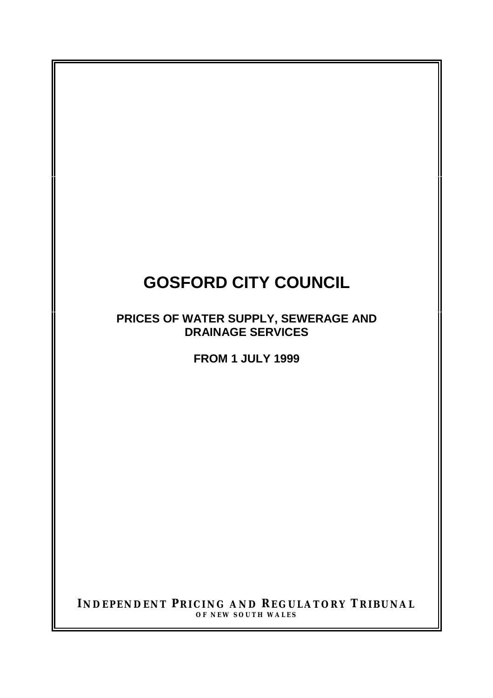# **GOSFORD CITY COUNCIL**

**PRICES OF WATER SUPPLY, SEWERAGE AND DRAINAGE SERVICES**

**FROM 1 JULY 1999**

**INDEPENDENT PRICING AND REGULATORY TRIBUNAL OF NEW SOUTH WALES**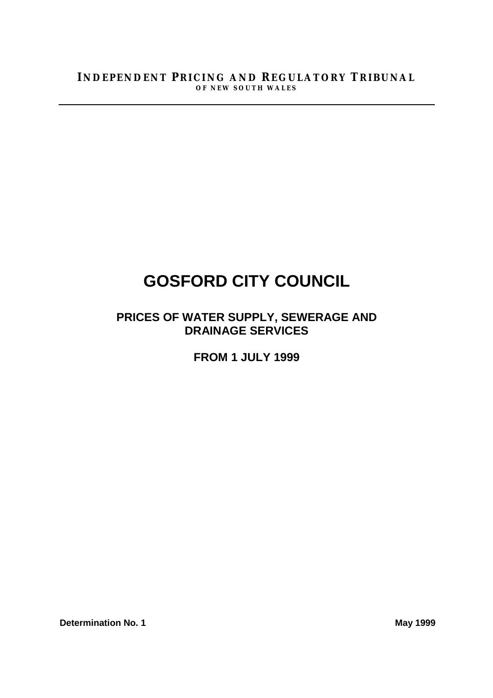# **GOSFORD CITY COUNCIL**

## **PRICES OF WATER SUPPLY, SEWERAGE AND DRAINAGE SERVICES**

**FROM 1 JULY 1999**

**Determination No. 1** May 1999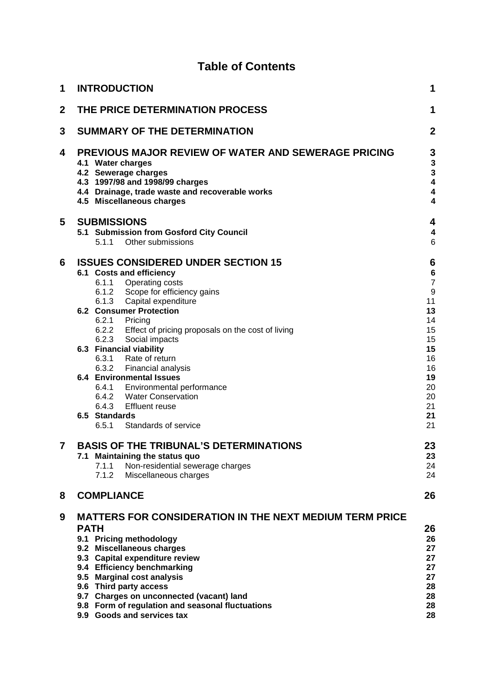### **Table of Contents**

| 1              | <b>INTRODUCTION</b><br>1 |                                                                                                                                                                                                                     |                                                                        |  |  |  |  |
|----------------|--------------------------|---------------------------------------------------------------------------------------------------------------------------------------------------------------------------------------------------------------------|------------------------------------------------------------------------|--|--|--|--|
| $\mathbf 2$    |                          | THE PRICE DETERMINATION PROCESS                                                                                                                                                                                     | 1                                                                      |  |  |  |  |
| 3              |                          | <b>SUMMARY OF THE DETERMINATION</b>                                                                                                                                                                                 | $\overline{2}$                                                         |  |  |  |  |
| 4              |                          | PREVIOUS MAJOR REVIEW OF WATER AND SEWERAGE PRICING<br>4.1 Water charges<br>4.2 Sewerage charges<br>4.3 1997/98 and 1998/99 charges<br>4.4 Drainage, trade waste and recoverable works<br>4.5 Miscellaneous charges | 3<br>3<br>3<br>$\overline{\mathbf{4}}$<br>$\overline{\mathbf{4}}$<br>4 |  |  |  |  |
| 5              |                          | <b>SUBMISSIONS</b>                                                                                                                                                                                                  | 4                                                                      |  |  |  |  |
|                |                          | 5.1 Submission from Gosford City Council<br>Other submissions<br>5.1.1                                                                                                                                              | 4<br>6                                                                 |  |  |  |  |
| 6              |                          | <b>ISSUES CONSIDERED UNDER SECTION 15</b>                                                                                                                                                                           | 6                                                                      |  |  |  |  |
|                |                          | 6.1 Costs and efficiency                                                                                                                                                                                            | $6\phantom{1}6$                                                        |  |  |  |  |
|                |                          | 6.1.1 Operating costs                                                                                                                                                                                               | $\overline{7}$                                                         |  |  |  |  |
|                |                          | 6.1.2 Scope for efficiency gains                                                                                                                                                                                    | 9                                                                      |  |  |  |  |
|                |                          | 6.1.3 Capital expenditure                                                                                                                                                                                           | 11                                                                     |  |  |  |  |
|                |                          | <b>6.2 Consumer Protection</b>                                                                                                                                                                                      | 13                                                                     |  |  |  |  |
|                |                          | 6.2.1 Pricing                                                                                                                                                                                                       | 14                                                                     |  |  |  |  |
|                |                          | 6.2.2 Effect of pricing proposals on the cost of living                                                                                                                                                             | 15<br>15                                                               |  |  |  |  |
|                |                          | 6.2.3 Social impacts<br>6.3 Financial viability                                                                                                                                                                     | 15                                                                     |  |  |  |  |
|                |                          | 6.3.1 Rate of return                                                                                                                                                                                                | 16                                                                     |  |  |  |  |
|                |                          | 6.3.2 Financial analysis                                                                                                                                                                                            | 16                                                                     |  |  |  |  |
|                |                          | <b>6.4 Environmental Issues</b>                                                                                                                                                                                     | 19                                                                     |  |  |  |  |
|                |                          | 6.4.1 Environmental performance                                                                                                                                                                                     | 20                                                                     |  |  |  |  |
|                |                          | 6.4.2 Water Conservation                                                                                                                                                                                            | 20                                                                     |  |  |  |  |
|                |                          | 6.4.3 Effluent reuse                                                                                                                                                                                                | 21                                                                     |  |  |  |  |
|                |                          | 6.5 Standards                                                                                                                                                                                                       | 21                                                                     |  |  |  |  |
|                |                          | Standards of service<br>6.5.1                                                                                                                                                                                       | 21                                                                     |  |  |  |  |
| $\overline{7}$ |                          | <b>BASIS OF THE TRIBUNAL'S DETERMINATIONS</b>                                                                                                                                                                       | 23                                                                     |  |  |  |  |
|                |                          | 7.1 Maintaining the status quo                                                                                                                                                                                      | 23                                                                     |  |  |  |  |
|                |                          | 7.1.1<br>Non-residential sewerage charges<br>7.1.2                                                                                                                                                                  | 24<br>24                                                               |  |  |  |  |
|                |                          | Miscellaneous charges                                                                                                                                                                                               |                                                                        |  |  |  |  |
| 8              |                          | <b>COMPLIANCE</b>                                                                                                                                                                                                   | 26                                                                     |  |  |  |  |
| 9              |                          | <b>MATTERS FOR CONSIDERATION IN THE NEXT MEDIUM TERM PRICE</b>                                                                                                                                                      |                                                                        |  |  |  |  |
|                | <b>PATH</b>              |                                                                                                                                                                                                                     | 26                                                                     |  |  |  |  |
|                |                          | 9.1 Pricing methodology                                                                                                                                                                                             | 26                                                                     |  |  |  |  |
|                |                          | 9.2 Miscellaneous charges<br>9.3 Capital expenditure review                                                                                                                                                         | 27<br>27                                                               |  |  |  |  |
|                |                          | 9.4 Efficiency benchmarking                                                                                                                                                                                         | 27                                                                     |  |  |  |  |
|                |                          | 9.5 Marginal cost analysis                                                                                                                                                                                          | 27                                                                     |  |  |  |  |
|                |                          | 9.6 Third party access                                                                                                                                                                                              | 28                                                                     |  |  |  |  |
|                |                          | 9.7 Charges on unconnected (vacant) land                                                                                                                                                                            | 28                                                                     |  |  |  |  |
|                |                          | 9.8 Form of regulation and seasonal fluctuations                                                                                                                                                                    | 28                                                                     |  |  |  |  |
|                |                          | 9.9 Goods and services tax                                                                                                                                                                                          | 28                                                                     |  |  |  |  |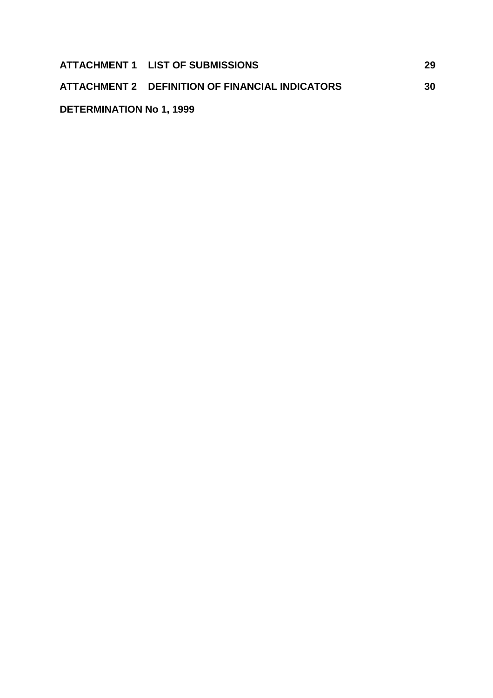|                                 | ATTACHMENT 1 LIST OF SUBMISSIONS                | 29 |
|---------------------------------|-------------------------------------------------|----|
|                                 | ATTACHMENT 2 DEFINITION OF FINANCIAL INDICATORS | 30 |
| <b>DETERMINATION No 1, 1999</b> |                                                 |    |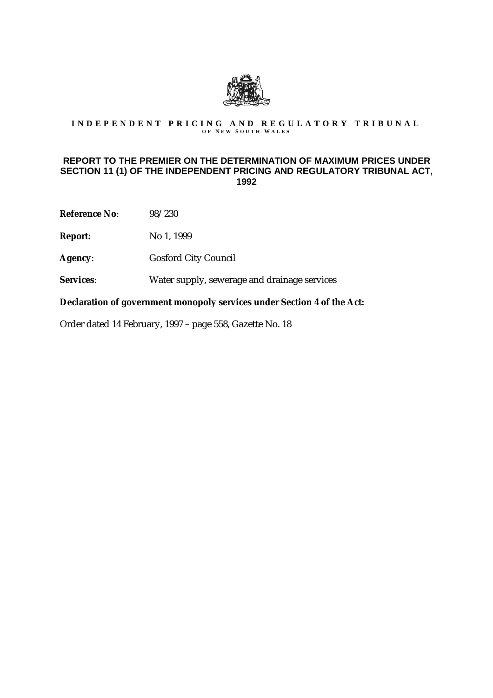

# INDEPENDENT PRICING AND REGULATORY TRIBUNAL

#### **REPORT TO THE PREMIER ON THE DETERMINATION OF MAXIMUM PRICES UNDER SECTION 11 (1) OF THE INDEPENDENT PRICING AND REGULATORY TRIBUNAL ACT, 1992**

**Reference No**: 98/230

**Report:** No 1, 1999

- **Agency**: Gosford City Council
- **Services**: Water supply, sewerage and drainage services

**Declaration of government monopoly services under Section 4 of the Act:**

Order dated 14 February, 1997 – page 558, Gazette No. 18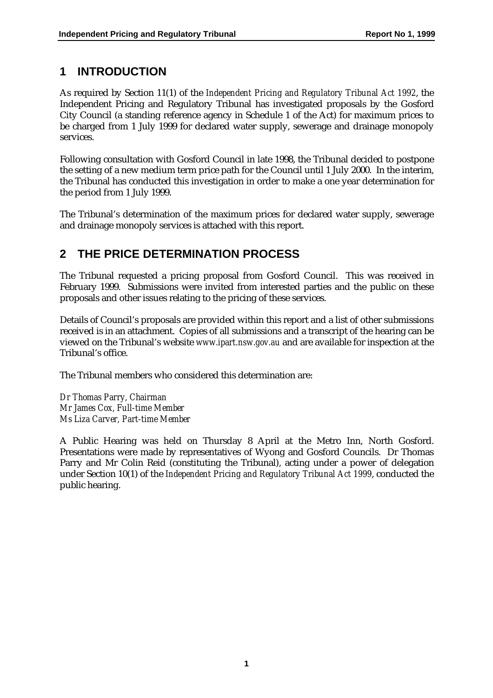### **1 INTRODUCTION**

As required by Section 11(1) of the *Independent Pricing and Regulatory Tribunal Act 1992*, the Independent Pricing and Regulatory Tribunal has investigated proposals by the Gosford City Council (a standing reference agency in Schedule 1 of the Act) for maximum prices to be charged from 1 July 1999 for declared water supply, sewerage and drainage monopoly services.

Following consultation with Gosford Council in late 1998, the Tribunal decided to postpone the setting of a new medium term price path for the Council until 1 July 2000. In the interim, the Tribunal has conducted this investigation in order to make a one year determination for the period from 1 July 1999.

The Tribunal's determination of the maximum prices for declared water supply, sewerage and drainage monopoly services is attached with this report.

### **2 THE PRICE DETERMINATION PROCESS**

The Tribunal requested a pricing proposal from Gosford Council. This was received in February 1999. Submissions were invited from interested parties and the public on these proposals and other issues relating to the pricing of these services.

Details of Council's proposals are provided within this report and a list of other submissions received is in an attachment. Copies of all submissions and a transcript of the hearing can be viewed on the Tribunal's website *www.ipart.nsw.gov.au* and are available for inspection at the Tribunal's office.

The Tribunal members who considered this determination are:

*Dr Thomas Parry, Chairman Mr James Cox, Full-time Member Ms Liza Carver, Part-time Member*

A Public Hearing was held on Thursday 8 April at the Metro Inn, North Gosford. Presentations were made by representatives of Wyong and Gosford Councils. Dr Thomas Parry and Mr Colin Reid (constituting the Tribunal), acting under a power of delegation under Section 10(1) of the *Independent Pricing and Regulatory Tribunal Act 1999*, conducted the public hearing.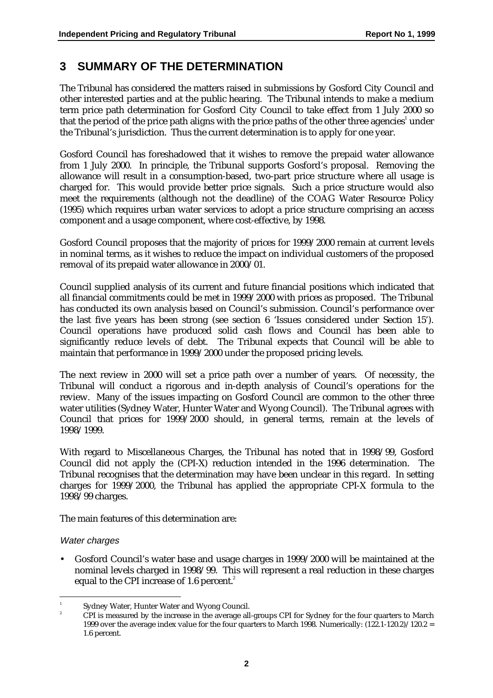### **3 SUMMARY OF THE DETERMINATION**

The Tribunal has considered the matters raised in submissions by Gosford City Council and other interested parties and at the public hearing. The Tribunal intends to make a medium term price path determination for Gosford City Council to take effect from 1 July 2000 so that the period of the price path aligns with the price paths of the other three agencies $^{\text{\tiny{1}}}$  under the Tribunal's jurisdiction. Thus the current determination is to apply for one year.

Gosford Council has foreshadowed that it wishes to remove the prepaid water allowance from 1 July 2000. In principle, the Tribunal supports Gosford's proposal. Removing the allowance will result in a consumption-based, two-part price structure where all usage is charged for. This would provide better price signals. Such a price structure would also meet the requirements (although not the deadline) of the COAG Water Resource Policy (1995) which requires urban water services to adopt a price structure comprising an access component and a usage component, where cost-effective, by 1998.

Gosford Council proposes that the majority of prices for 1999/2000 remain at current levels in nominal terms, as it wishes to reduce the impact on individual customers of the proposed removal of its prepaid water allowance in 2000/01.

Council supplied analysis of its current and future financial positions which indicated that all financial commitments could be met in 1999/2000 with prices as proposed. The Tribunal has conducted its own analysis based on Council's submission. Council's performance over the last five years has been strong (see section 6 'Issues considered under Section 15'). Council operations have produced solid cash flows and Council has been able to significantly reduce levels of debt. The Tribunal expects that Council will be able to maintain that performance in 1999/2000 under the proposed pricing levels.

The next review in 2000 will set a price path over a number of years. Of necessity, the Tribunal will conduct a rigorous and in-depth analysis of Council's operations for the review. Many of the issues impacting on Gosford Council are common to the other three water utilities (Sydney Water, Hunter Water and Wyong Council). The Tribunal agrees with Council that prices for 1999/2000 should, in general terms, remain at the levels of 1998/1999.

With regard to Miscellaneous Charges, the Tribunal has noted that in 1998/99, Gosford Council did not apply the (CPI-X) reduction intended in the 1996 determination. The Tribunal recognises that the determination may have been unclear in this regard. In setting charges for 1999/2000, the Tribunal has applied the appropriate CPI-X formula to the 1998/99 charges.

The main features of this determination are:

#### Water charges

• Gosford Council's water base and usage charges in 1999/2000 will be maintained at the nominal levels charged in 1998/99. This will represent a real reduction in these charges equal to the CPI increase of 1.6 percent.<sup>2</sup>

<sup>|&</sup>lt;br>|<br>| <sup>1</sup> Sydney Water, Hunter Water and Wyong Council.

<sup>2</sup> CPI is measured by the increase in the average all-groups CPI for Sydney for the four quarters to March 1999 over the average index value for the four quarters to March 1998. Numerically:  $(122.1-120.2)/120.2 =$ 1.6 percent.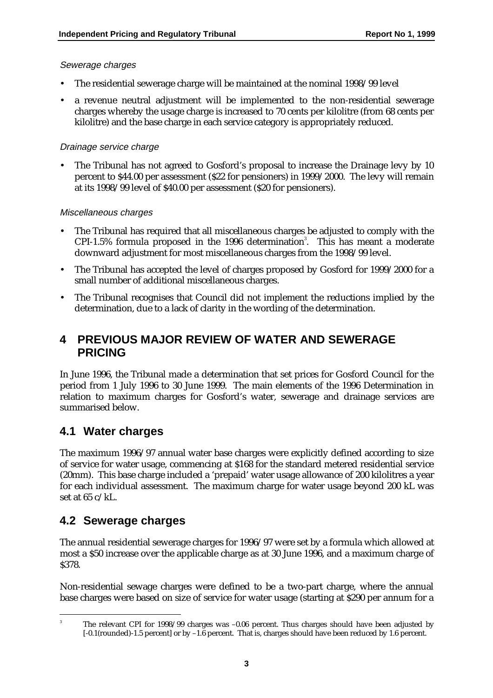#### Sewerage charges

- The residential sewerage charge will be maintained at the nominal 1998/99 level
- a revenue neutral adjustment will be implemented to the non-residential sewerage charges whereby the usage charge is increased to 70 cents per kilolitre (from 68 cents per kilolitre) and the base charge in each service category is appropriately reduced.

#### Drainage service charge

The Tribunal has not agreed to Gosford's proposal to increase the Drainage levy by 10 percent to \$44.00 per assessment (\$22 for pensioners) in 1999/2000. The levy will remain at its 1998/99 level of \$40.00 per assessment (\$20 for pensioners).

#### Miscellaneous charges

- The Tribunal has required that all miscellaneous charges be adjusted to comply with the CPI-1.5% formula proposed in the 1996 determination<sup>3</sup>. This has meant a moderate downward adjustment for most miscellaneous charges from the 1998/99 level.
- The Tribunal has accepted the level of charges proposed by Gosford for 1999/2000 for a small number of additional miscellaneous charges.
- The Tribunal recognises that Council did not implement the reductions implied by the determination, due to a lack of clarity in the wording of the determination.

### **4 PREVIOUS MAJOR REVIEW OF WATER AND SEWERAGE PRICING**

In June 1996, the Tribunal made a determination that set prices for Gosford Council for the period from 1 July 1996 to 30 June 1999. The main elements of the 1996 Determination in relation to maximum charges for Gosford's water, sewerage and drainage services are summarised below.

### **4.1 Water charges**

The maximum 1996/97 annual water base charges were explicitly defined according to size of service for water usage, commencing at \$168 for the standard metered residential service (20mm). This base charge included a 'prepaid' water usage allowance of 200 kilolitres a year for each individual assessment. The maximum charge for water usage beyond 200 kL was set at 65 c/kL.

### **4.2 Sewerage charges**

The annual residential sewerage charges for 1996/97 were set by a formula which allowed at most a \$50 increase over the applicable charge as at 30 June 1996, and a maximum charge of \$378.

Non-residential sewage charges were defined to be a two-part charge, where the annual base charges were based on size of service for water usage (starting at \$290 per annum for a

<sup>-&</sup>lt;br>3 <sup>3</sup> The relevant CPI for 1998/99 charges was -0.06 percent. Thus charges should have been adjusted by [-0.1(rounded)-1.5 percent] or by –1.6 percent. That is, charges should have been reduced by 1.6 percent.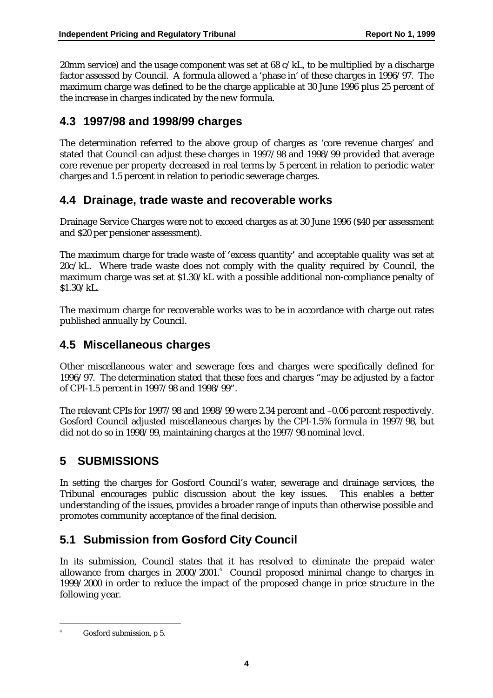20mm service) and the usage component was set at  $68 \text{ c}/\text{kL}$ , to be multiplied by a discharge factor assessed by Council. A formula allowed a 'phase in' of these charges in 1996/97. The maximum charge was defined to be the charge applicable at 30 June 1996 plus 25 percent of the increase in charges indicated by the new formula.

### **4.3 1997/98 and 1998/99 charges**

The determination referred to the above group of charges as 'core revenue charges' and stated that Council can adjust these charges in 1997/98 and 1998/99 provided that average core revenue per property decreased in real terms by 5 percent in relation to periodic water charges and 1.5 percent in relation to periodic sewerage charges.

### **4.4 Drainage, trade waste and recoverable works**

Drainage Service Charges were not to exceed charges as at 30 June 1996 (\$40 per assessment and \$20 per pensioner assessment).

The maximum charge for trade waste of **'**excess quantity**'** and acceptable quality was set at 20c/kL. Where trade waste does not comply with the quality required by Council, the maximum charge was set at \$1.30/kL with a possible additional non-compliance penalty of \$1.30/kL.

The maximum charge for recoverable works was to be in accordance with charge out rates published annually by Council.

### **4.5 Miscellaneous charges**

Other miscellaneous water and sewerage fees and charges were specifically defined for 1996/97. The determination stated that these fees and charges "may be adjusted by a factor of CPI-1.5 percent in 1997/98 and 1998/99".

The relevant CPIs for 1997/98 and 1998/99 were 2.34 percent and –0.06 percent respectively. Gosford Council adjusted miscellaneous charges by the CPI-1.5% formula in 1997/98, but did not do so in 1998/99, maintaining charges at the 1997/98 nominal level.

### **5 SUBMISSIONS**

In setting the charges for Gosford Council's water, sewerage and drainage services, the Tribunal encourages public discussion about the key issues. This enables a better understanding of the issues, provides a broader range of inputs than otherwise possible and promotes community acceptance of the final decision.

### **5.1 Submission from Gosford City Council**

In its submission, Council states that it has resolved to eliminate the prepaid water allowance from charges in 2000/2001.<sup>4</sup> Council proposed minimal change to charges in 1999/2000 in order to reduce the impact of the proposed change in price structure in the following year.

4

Gosford submission, p 5.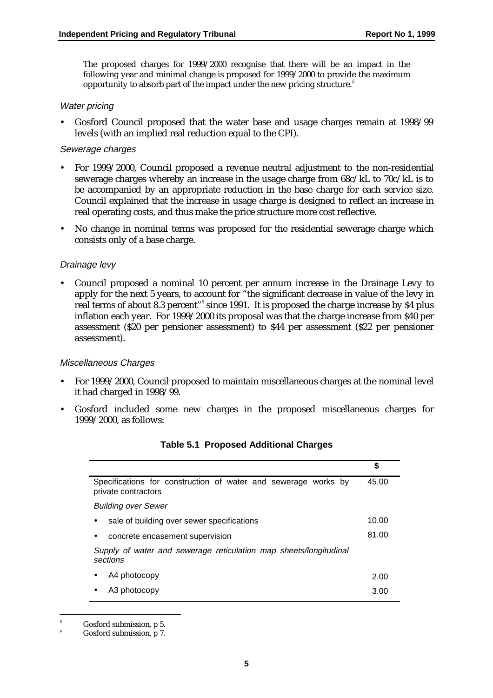The proposed charges for 1999/2000 recognise that there will be an impact in the following year and minimal change is proposed for 1999/2000 to provide the maximum opportunity to absorb part of the impact under the new pricing structure.<sup>5</sup>

#### Water pricing

• Gosford Council proposed that the water base and usage charges remain at 1998/99 levels (with an implied real reduction equal to the CPI).

#### Sewerage charges

- For 1999/2000, Council proposed a revenue neutral adjustment to the non-residential sewerage charges whereby an increase in the usage charge from 68c/kL to 70c/kL is to be accompanied by an appropriate reduction in the base charge for each service size. Council explained that the increase in usage charge is designed to reflect an increase in real operating costs, and thus make the price structure more cost reflective.
- No change in nominal terms was proposed for the residential sewerage charge which consists only of a base charge.

#### Drainage levy

• Council proposed a nominal 10 percent per annum increase in the Drainage Levy to apply for the next 5 years, to account for "the significant decrease in value of the levy in real terms of about 8.3 percent"<sup>6</sup> since 1991. It is proposed the charge increase by \$4 plus inflation each year. For 1999/2000 its proposal was that the charge increase from \$40 per assessment (\$20 per pensioner assessment) to \$44 per assessment (\$22 per pensioner assessment).

#### Miscellaneous Charges

- For 1999/2000, Council proposed to maintain miscellaneous charges at the nominal level it had charged in 1998/99.
- Gosford included some new charges in the proposed miscellaneous charges for 1999/2000, as follows:

|                                                                                       | \$    |
|---------------------------------------------------------------------------------------|-------|
| Specifications for construction of water and sewerage works by<br>private contractors | 45.00 |
| <b>Building over Sewer</b>                                                            |       |
| sale of building over sewer specifications                                            | 10.00 |
| concrete encasement supervision<br>$\bullet$                                          | 81.00 |
| Supply of water and sewerage reticulation map sheets/longitudinal<br>sections         |       |
| A4 photocopy                                                                          | 2.00  |
| A3 photocopy                                                                          | 3.00  |

#### **Table 5.1 Proposed Additional Charges**

<sup>-&</sup>lt;br>5 Gosford submission, p 5.

<sup>6</sup> Gosford submission, p 7.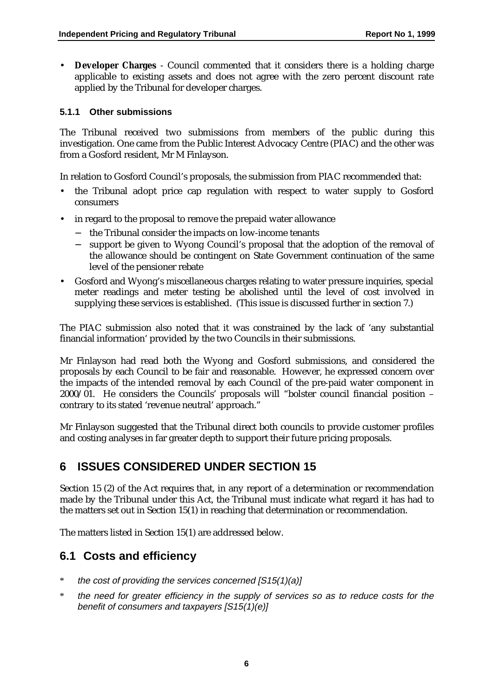• **Developer Charges** - Council commented that it considers there is a holding charge applicable to existing assets and does not agree with the zero percent discount rate applied by the Tribunal for developer charges.

#### **5.1.1 Other submissions**

The Tribunal received two submissions from members of the public during this investigation. One came from the Public Interest Advocacy Centre (PIAC) and the other was from a Gosford resident, Mr M Finlayson.

In relation to Gosford Council's proposals, the submission from PIAC recommended that:

- the Tribunal adopt price cap regulation with respect to water supply to Gosford consumers
- in regard to the proposal to remove the prepaid water allowance
	- − the Tribunal consider the impacts on low-income tenants
	- − support be given to Wyong Council's proposal that the adoption of the removal of the allowance should be contingent on State Government continuation of the same level of the pensioner rebate
- Gosford and Wyong's miscellaneous charges relating to water pressure inquiries, special meter readings and meter testing be abolished until the level of cost involved in supplying these services is established. (This issue is discussed further in section 7.)

The PIAC submission also noted that it was constrained by the lack of 'any substantial financial information' provided by the two Councils in their submissions.

Mr Finlayson had read both the Wyong and Gosford submissions, and considered the proposals by each Council to be fair and reasonable. However, he expressed concern over the impacts of the intended removal by each Council of the pre-paid water component in 2000/01. He considers the Councils' proposals will "bolster council financial position – contrary to its stated 'revenue neutral' approach."

Mr Finlayson suggested that the Tribunal direct both councils to provide customer profiles and costing analyses in far greater depth to support their future pricing proposals.

### **6 ISSUES CONSIDERED UNDER SECTION 15**

Section 15 (2) of the Act requires that, in any report of a determination or recommendation made by the Tribunal under this Act, the Tribunal must indicate what regard it has had to the matters set out in Section 15(1) in reaching that determination or recommendation.

The matters listed in Section 15(1) are addressed below.

### **6.1 Costs and efficiency**

- \* the cost of providing the services concerned [S15(1)(a)]
- \* the need for greater efficiency in the supply of services so as to reduce costs for the benefit of consumers and taxpayers [S15(1)(e)]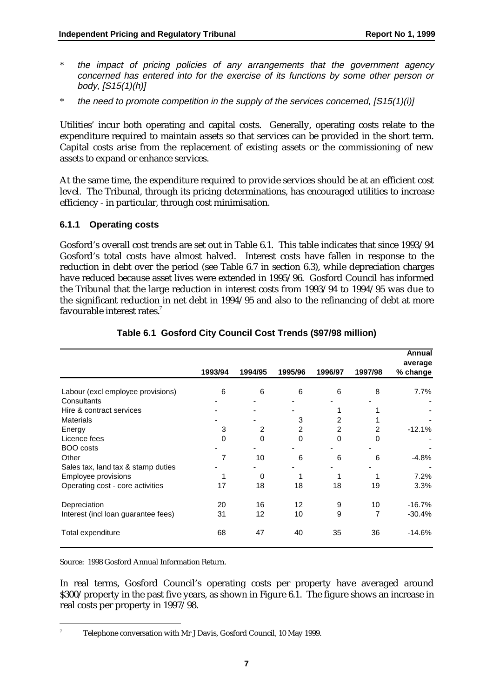- \* the impact of pricing policies of any arrangements that the government agency concerned has entered into for the exercise of its functions by some other person or body, [S15(1)(h)]
- \* the need to promote competition in the supply of the services concerned, [S15(1)(i)]

Utilities' incur both operating and capital costs. Generally, operating costs relate to the expenditure required to maintain assets so that services can be provided in the short term. Capital costs arise from the replacement of existing assets or the commissioning of new assets to expand or enhance services.

At the same time, the expenditure required to provide services should be at an efficient cost level. The Tribunal, through its pricing determinations, has encouraged utilities to increase efficiency - in particular, through cost minimisation.

#### **6.1.1 Operating costs**

Gosford's overall cost trends are set out in Table 6.1. This table indicates that since 1993/94 Gosford's total costs have almost halved. Interest costs have fallen in response to the reduction in debt over the period (see Table 6.7 in section 6.3), while depreciation charges have reduced because asset lives were extended in 1995/96. Gosford Council has informed the Tribunal that the large reduction in interest costs from 1993/94 to 1994/95 was due to the significant reduction in net debt in 1994/95 and also to the refinancing of debt at more favourable interest rates.<sup>7</sup>

|                                     | 1993/94 | 1994/95 | 1995/96        | 1996/97  | 1997/98 | Annual<br>average<br>% change |
|-------------------------------------|---------|---------|----------------|----------|---------|-------------------------------|
| Labour (excl employee provisions)   | 6       | 6       | 6              | 6        | 8       | 7.7%                          |
| Consultants                         |         |         |                |          |         |                               |
| Hire & contract services            |         |         |                |          |         |                               |
| <b>Materials</b>                    |         |         | 3              | 2        |         |                               |
| Energy                              | 3       | 2       | $\overline{2}$ | 2        | 2       | $-12.1%$                      |
| Licence fees                        | 0       | 0       | 0              | $\Omega$ | 0       |                               |
| BOO costs                           |         |         |                |          |         |                               |
| Other                               | 7       | 10      | 6              | 6        | 6       | $-4.8%$                       |
| Sales tax, land tax & stamp duties  |         |         |                |          |         |                               |
| Employee provisions                 |         | 0       |                |          |         | 7.2%                          |
| Operating cost - core activities    | 17      | 18      | 18             | 18       | 19      | 3.3%                          |
| Depreciation                        | 20      | 16      | 12             | 9        | 10      | $-16.7%$                      |
| Interest (incl loan guarantee fees) | 31      | 12      | 10             | 9        | 7       | $-30.4%$                      |
| Total expenditure                   | 68      | 47      | 40             | 35       | 36      | $-14.6%$                      |

#### **Table 6.1 Gosford City Council Cost Trends (\$97/98 million)**

Source: 1998 Gosford Annual Information Return.

-<br>7

In real terms, Gosford Council's operating costs per property have averaged around \$300/property in the past five years, as shown in Figure 6.1. The figure shows an increase in real costs per property in 1997/98.

Telephone conversation with Mr J Davis, Gosford Council, 10 May 1999.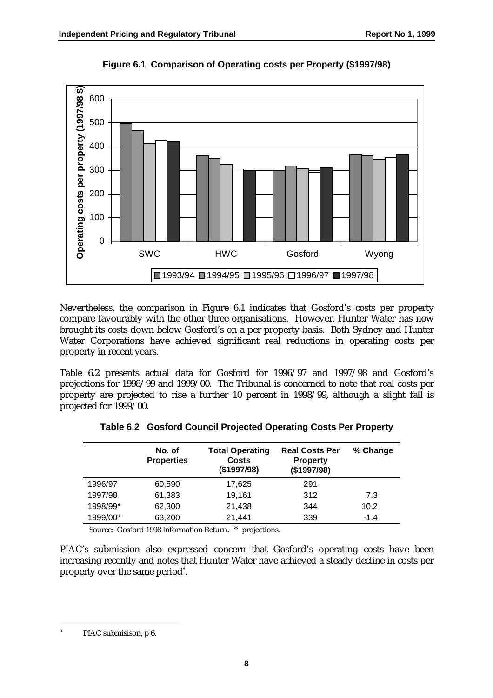

**Figure 6.1 Comparison of Operating costs per Property (\$1997/98)**

Nevertheless, the comparison in Figure 6.1 indicates that Gosford's costs per property compare favourably with the other three organisations. However, Hunter Water has now brought its costs down below Gosford's on a per property basis. Both Sydney and Hunter Water Corporations have achieved significant real reductions in operating costs per property in recent years.

Table 6.2 presents actual data for Gosford for 1996/97 and 1997/98 and Gosford's projections for 1998/99 and 1999/00. The Tribunal is concerned to note that real costs per property are projected to rise a further 10 percent in 1998/99, although a slight fall is projected for 1999/00.

|          | No. of<br><b>Properties</b> | <b>Total Operating</b><br><b>Costs</b><br>(\$1997/98) | <b>Real Costs Per</b><br><b>Property</b><br>(\$1997/98) | % Change |
|----------|-----------------------------|-------------------------------------------------------|---------------------------------------------------------|----------|
| 1996/97  | 60,590                      | 17,625                                                | 291                                                     |          |
| 1997/98  | 61,383                      | 19,161                                                | 312                                                     | 7.3      |
| 1998/99* | 62,300                      | 21,438                                                | 344                                                     | 10.2     |
| 1999/00* | 63,200                      | 21,441                                                | 339                                                     | $-1.4$   |

**Table 6.2 Gosford Council Projected Operating Costs Per Property**

Source: Gosford 1998 Information Return. \* projections.

PIAC's submission also expressed concern that Gosford's operating costs have been increasing recently and notes that Hunter Water have achieved a steady decline in costs per property over the same period<sup>8</sup>.

-<br>8

PIAC submisison, p 6.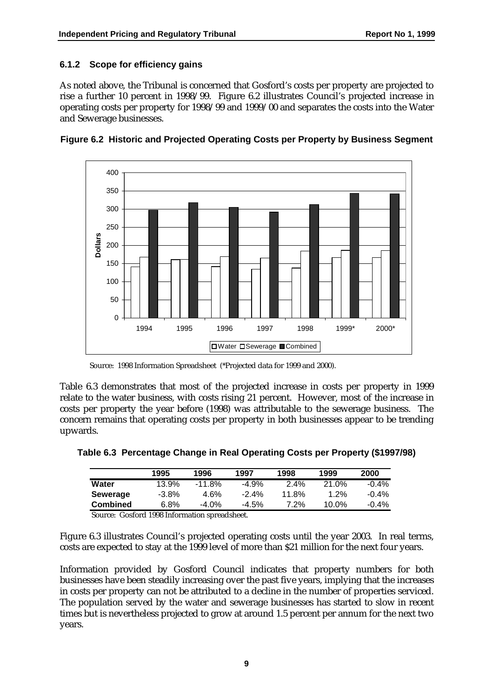#### **6.1.2 Scope for efficiency gains**

As noted above, the Tribunal is concerned that Gosford's costs per property are projected to rise a further 10 percent in 1998/99. Figure 6.2 illustrates Council's projected increase in operating costs per property for 1998/99 and 1999/00 and separates the costs into the Water and Sewerage businesses.





Source: 1998 Information Spreadsheet (\*Projected data for 1999 and 2000).

Table 6.3 demonstrates that most of the projected increase in costs per property in 1999 relate to the water business, with costs rising 21 percent. However, most of the increase in costs per property the year before (1998) was attributable to the sewerage business. The concern remains that operating costs per property in both businesses appear to be trending upwards.

|          | 1995     | 1996   | 1997     | 1998    | 1999    | 2000     |
|----------|----------|--------|----------|---------|---------|----------|
| Water    | 13.9%    | -11.8% | $-4.9%$  | $2.4\%$ | 21.0%   | $-0.4\%$ |
| Sewerage | $-3.8\%$ | 4.6%   | $-2.4\%$ | 11.8%   | $1.2\%$ | $-0.4\%$ |

**Combined** 6.8% -4.0% -4.5% 7.2% 10.0% -0.4%

**Table 6.3 Percentage Change in Real Operating Costs per Property (\$1997/98)**

Source: Gosford 1998 Information spreadsheet.

Figure 6.3 illustrates Council's projected operating costs until the year 2003. In real terms, costs are expected to stay at the 1999 level of more than \$21 million for the next four years.

Information provided by Gosford Council indicates that property numbers for both businesses have been steadily increasing over the past five years, implying that the increases in costs per property can not be attributed to a decline in the number of properties serviced. The population served by the water and sewerage businesses has started to slow in recent times but is nevertheless projected to grow at around 1.5 percent per annum for the next two years.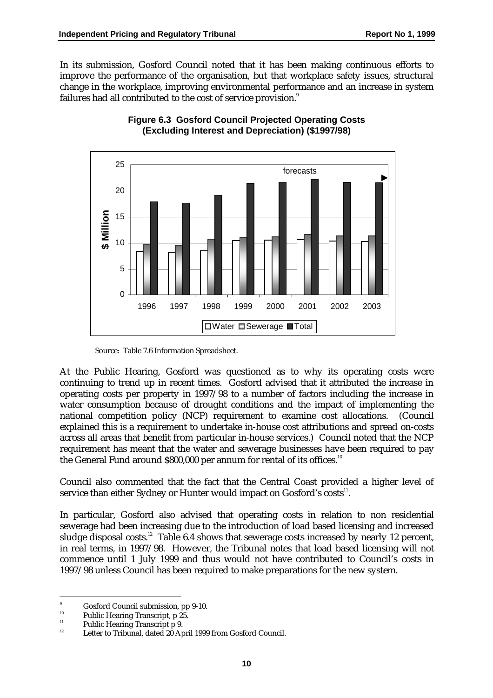In its submission, Gosford Council noted that it has been making continuous efforts to improve the performance of the organisation, but that workplace safety issues, structural change in the workplace, improving environmental performance and an increase in system failures had all contributed to the cost of service provision.<sup>9</sup>





Source: Table 7.6 Information Spreadsheet.

At the Public Hearing, Gosford was questioned as to why its operating costs were continuing to trend up in recent times. Gosford advised that it attributed the increase in operating costs per property in 1997/98 to a number of factors including the increase in water consumption because of drought conditions and the impact of implementing the national competition policy (NCP) requirement to examine cost allocations. (Council explained this is a requirement to undertake in-house cost attributions and spread on-costs across all areas that benefit from particular in-house services.) Council noted that the NCP requirement has meant that the water and sewerage businesses have been required to pay the General Fund around \$800,000 per annum for rental of its offices.<sup>10</sup>

Council also commented that the fact that the Central Coast provided a higher level of service than either Sydney or Hunter would impact on Gosford's costs $^{\rm n}$ .

In particular, Gosford also advised that operating costs in relation to non residential sewerage had been increasing due to the introduction of load based licensing and increased sludge disposal costs.<sup>12</sup> Table 6.4 shows that sewerage costs increased by nearly 12 percent, in real terms, in 1997/98. However, the Tribunal notes that load based licensing will not commence until 1 July 1999 and thus would not have contributed to Council's costs in 1997/98 unless Council has been required to make preparations for the new system.

<sup>-&</sup>lt;br>9  $\frac{9}{10}$  Gosford Council submission, pp 9-10.

<sup>&</sup>lt;sup>10</sup> Public Hearing Transcript, p 25.

<sup>&</sup>lt;sup>11</sup> Public Hearing Transcript p 9.

Letter to Tribunal, dated 20 April 1999 from Gosford Council.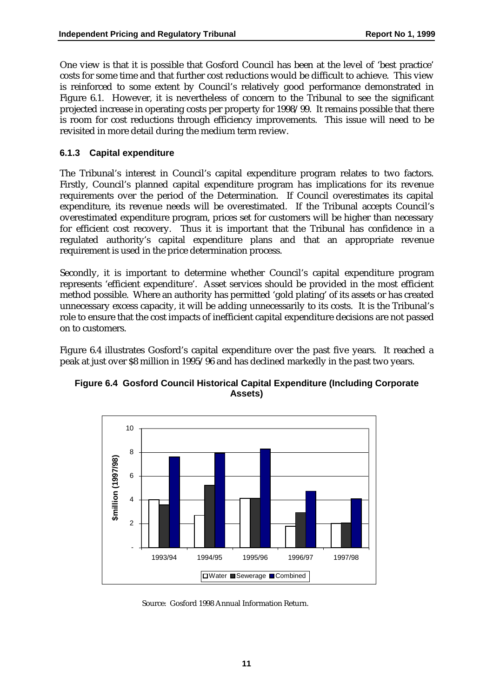One view is that it is possible that Gosford Council has been at the level of 'best practice' costs for some time and that further cost reductions would be difficult to achieve. This view is reinforced to some extent by Council's relatively good performance demonstrated in Figure 6.1. However, it is nevertheless of concern to the Tribunal to see the significant projected increase in operating costs per property for 1998/99. It remains possible that there is room for cost reductions through efficiency improvements. This issue will need to be revisited in more detail during the medium term review.

#### **6.1.3 Capital expenditure**

The Tribunal's interest in Council's capital expenditure program relates to two factors. Firstly, Council's planned capital expenditure program has implications for its revenue requirements over the period of the Determination. If Council overestimates its capital expenditure, its revenue needs will be overestimated. If the Tribunal accepts Council's overestimated expenditure program, prices set for customers will be higher than necessary for efficient cost recovery. Thus it is important that the Tribunal has confidence in a regulated authority's capital expenditure plans and that an appropriate revenue requirement is used in the price determination process.

Secondly, it is important to determine whether Council's capital expenditure program represents 'efficient expenditure'. Asset services should be provided in the most efficient method possible. Where an authority has permitted 'gold plating' of its assets or has created unnecessary excess capacity, it will be adding unnecessarily to its costs. It is the Tribunal's role to ensure that the cost impacts of inefficient capital expenditure decisions are not passed on to customers.

Figure 6.4 illustrates Gosford's capital expenditure over the past five years. It reached a peak at just over \$8 million in 1995/96 and has declined markedly in the past two years.



**Figure 6.4 Gosford Council Historical Capital Expenditure (Including Corporate Assets)**

Source: Gosford 1998 Annual Information Return.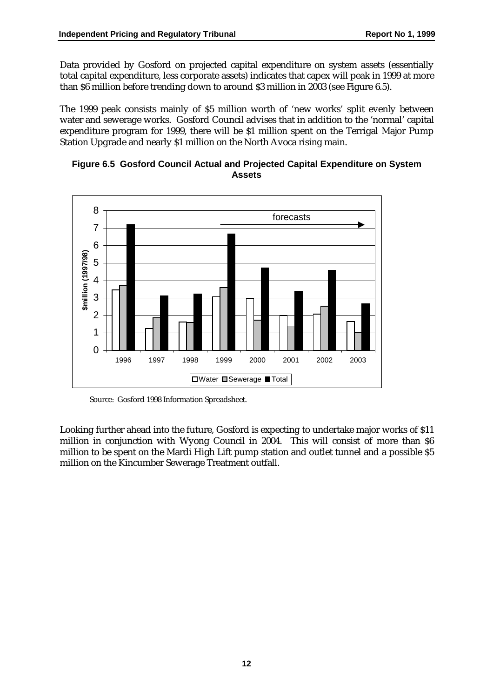Data provided by Gosford on projected capital expenditure on system assets (essentially total capital expenditure, less corporate assets) indicates that capex will peak in 1999 at more than \$6 million before trending down to around \$3 million in 2003 (see Figure 6.5).

The 1999 peak consists mainly of \$5 million worth of 'new works' split evenly between water and sewerage works. Gosford Council advises that in addition to the 'normal' capital expenditure program for 1999, there will be \$1 million spent on the Terrigal Major Pump Station Upgrade and nearly \$1 million on the North Avoca rising main.





Source: Gosford 1998 Information Spreadsheet.

Looking further ahead into the future, Gosford is expecting to undertake major works of \$11 million in conjunction with Wyong Council in 2004. This will consist of more than \$6 million to be spent on the Mardi High Lift pump station and outlet tunnel and a possible \$5 million on the Kincumber Sewerage Treatment outfall.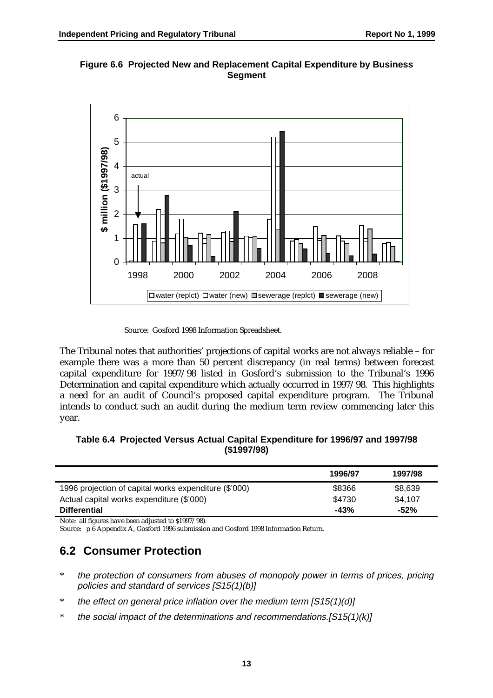



Source: Gosford 1998 Information Spreadsheet.

The Tribunal notes that authorities' projections of capital works are not always reliable – for example there was a more than 50 percent discrepancy (in real terms) between forecast capital expenditure for 1997/98 listed in Gosford's submission to the Tribunal's 1996 Determination and capital expenditure which actually occurred in 1997/98. This highlights a need for an audit of Council's proposed capital expenditure program. The Tribunal intends to conduct such an audit during the medium term review commencing later this year.

#### **Table 6.4 Projected Versus Actual Capital Expenditure for 1996/97 and 1997/98 (\$1997/98)**

|                                                       | 1996/97 | 1997/98 |
|-------------------------------------------------------|---------|---------|
| 1996 projection of capital works expenditure (\$'000) | \$8366  | \$8,639 |
| Actual capital works expenditure (\$'000)             | \$4730  | \$4,107 |
| <b>Differential</b>                                   | $-43%$  | $-52%$  |
| ____                                                  |         |         |

Note: all figures have been adjusted to \$1997/98). Source: p 6 Appendix A, Gosford 1996 submission and Gosford 1998 Information Return.

### **6.2 Consumer Protection**

- \* the protection of consumers from abuses of monopoly power in terms of prices, pricing policies and standard of services [S15(1)(b)]
- $*$  the effect on general price inflation over the medium term  $[S15(1)(d)]$
- \* the social impact of the determinations and recommendations.[S15(1)(k)]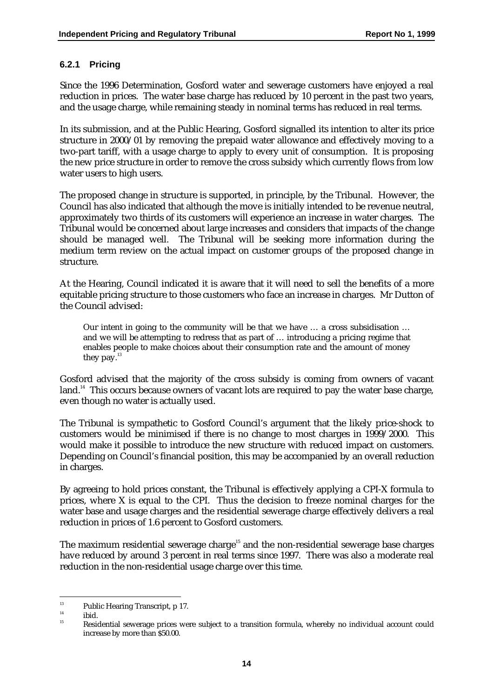#### **6.2.1 Pricing**

Since the 1996 Determination, Gosford water and sewerage customers have enjoyed a real reduction in prices. The water base charge has reduced by 10 percent in the past two years, and the usage charge, while remaining steady in nominal terms has reduced in real terms.

In its submission, and at the Public Hearing, Gosford signalled its intention to alter its price structure in 2000/01 by removing the prepaid water allowance and effectively moving to a two-part tariff, with a usage charge to apply to every unit of consumption. It is proposing the new price structure in order to remove the cross subsidy which currently flows from low water users to high users.

The proposed change in structure is supported, in principle, by the Tribunal. However, the Council has also indicated that although the move is initially intended to be revenue neutral, approximately two thirds of its customers will experience an increase in water charges. The Tribunal would be concerned about large increases and considers that impacts of the change should be managed well. The Tribunal will be seeking more information during the medium term review on the actual impact on customer groups of the proposed change in structure.

At the Hearing, Council indicated it is aware that it will need to sell the benefits of a more equitable pricing structure to those customers who face an increase in charges. Mr Dutton of the Council advised:

Our intent in going to the community will be that we have … a cross subsidisation … and we will be attempting to redress that as part of … introducing a pricing regime that enables people to make choices about their consumption rate and the amount of money they pay. $^{13}$ 

Gosford advised that the majority of the cross subsidy is coming from owners of vacant land.<sup>14</sup> This occurs because owners of vacant lots are required to pay the water base charge, even though no water is actually used.

The Tribunal is sympathetic to Gosford Council's argument that the likely price-shock to customers would be minimised if there is no change to most charges in 1999/2000. This would make it possible to introduce the new structure with reduced impact on customers. Depending on Council's financial position, this may be accompanied by an overall reduction in charges.

By agreeing to hold prices constant, the Tribunal is effectively applying a CPI-X formula to prices, where X is equal to the CPI. Thus the decision to freeze nominal charges for the water base and usage charges and the residential sewerage charge effectively delivers a real reduction in prices of 1.6 percent to Gosford customers.

The maximum residential sewerage charge<sup>15</sup> and the non-residential sewerage base charges have reduced by around 3 percent in real terms since 1997. There was also a moderate real reduction in the non-residential usage charge over this time.

<sup>&</sup>lt;sup>13</sup> Public Hearing Transcript, p 17.

 $\frac{14}{15}$  ibid.

<sup>15</sup> Residential sewerage prices were subject to a transition formula, whereby no individual account could increase by more than \$50.00.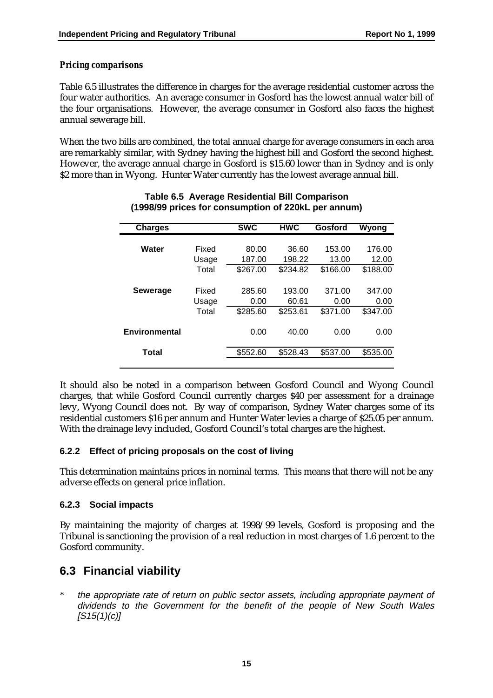#### *Pricing comparisons*

Table 6.5 illustrates the difference in charges for the average residential customer across the four water authorities. An average consumer in Gosford has the lowest annual water bill of the four organisations. However, the average consumer in Gosford also faces the highest annual sewerage bill.

When the two bills are combined, the total annual charge for average consumers in each area are remarkably similar, with Sydney having the highest bill and Gosford the second highest. However, the average annual charge in Gosford is \$15.60 lower than in Sydney and is only \$2 more than in Wyong. Hunter Water currently has the lowest average annual bill.

| <b>Charges</b>       |       | <b>SWC</b> | <b>HMC</b> | Gosford  | Wyong    |
|----------------------|-------|------------|------------|----------|----------|
|                      |       |            |            |          |          |
| Water                | Fixed | 80.00      | 36.60      | 153.00   | 176.00   |
|                      | Usage | 187.00     | 198.22     | 13.00    | 12.00    |
|                      | Total | \$267.00   | \$234.82   | \$166.00 | \$188.00 |
|                      |       |            |            |          |          |
| <b>Sewerage</b>      | Fixed | 285.60     | 193.00     | 371.00   | 347.00   |
|                      | Usage | 0.00       | 60.61      | 0.00     | 0.00     |
|                      | Total | \$285.60   | \$253.61   | \$371.00 | \$347.00 |
| <b>Environmental</b> |       | 0.00       | 40.00      | 0.00     | 0.00     |
| Total                |       | \$552.60   | \$528.43   | \$537.00 | \$535.00 |
|                      |       |            |            |          |          |

#### **Table 6.5 Average Residential Bill Comparison (1998/99 prices for consumption of 220kL per annum)**

It should also be noted in a comparison between Gosford Council and Wyong Council charges, that while Gosford Council currently charges \$40 per assessment for a drainage levy, Wyong Council does not. By way of comparison, Sydney Water charges some of its residential customers \$16 per annum and Hunter Water levies a charge of \$25.05 per annum. With the drainage levy included, Gosford Council's total charges are the highest.

#### **6.2.2 Effect of pricing proposals on the cost of living**

This determination maintains prices in nominal terms. This means that there will not be any adverse effects on general price inflation.

#### **6.2.3 Social impacts**

By maintaining the majority of charges at 1998/99 levels, Gosford is proposing and the Tribunal is sanctioning the provision of a real reduction in most charges of 1.6 percent to the Gosford community.

### **6.3 Financial viability**

\* the appropriate rate of return on public sector assets, including appropriate payment of dividends to the Government for the benefit of the people of New South Wales  $[S15(1)(c)]$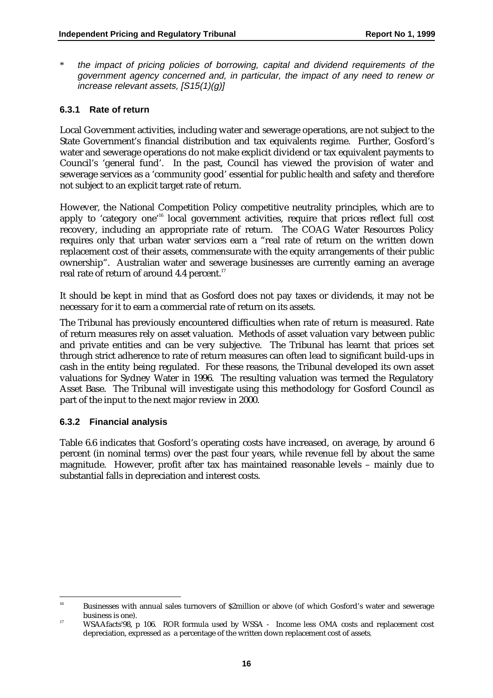\* the impact of pricing policies of borrowing, capital and dividend requirements of the government agency concerned and, in particular, the impact of any need to renew or increase relevant assets, [S15(1)(g)]

#### **6.3.1 Rate of return**

Local Government activities, including water and sewerage operations, are not subject to the State Government's financial distribution and tax equivalents regime. Further, Gosford's water and sewerage operations do not make explicit dividend or tax equivalent payments to Council's 'general fund'. In the past, Council has viewed the provision of water and sewerage services as a 'community good' essential for public health and safety and therefore not subject to an explicit target rate of return.

However, the National Competition Policy competitive neutrality principles, which are to apply to 'category one'<sup>16</sup> local government activities, require that prices reflect full cost recovery, including an appropriate rate of return. The COAG Water Resources Policy requires only that urban water services earn a "real rate of return on the written down replacement cost of their assets, commensurate with the equity arrangements of their public ownership". Australian water and sewerage businesses are currently earning an average real rate of return of around 4.4 percent.<sup>17</sup>

It should be kept in mind that as Gosford does not pay taxes or dividends, it may not be necessary for it to earn a commercial rate of return on its assets.

The Tribunal has previously encountered difficulties when rate of return is measured. Rate of return measures rely on asset valuation. Methods of asset valuation vary between public and private entities and can be very subjective. The Tribunal has learnt that prices set through strict adherence to rate of return measures can often lead to significant build-ups in cash in the entity being regulated. For these reasons, the Tribunal developed its own asset valuations for Sydney Water in 1996. The resulting valuation was termed the Regulatory Asset Base. The Tribunal will investigate using this methodology for Gosford Council as part of the input to the next major review in 2000.

#### **6.3.2 Financial analysis**

Table 6.6 indicates that Gosford's operating costs have increased, on average, by around 6 percent (in nominal terms) over the past four years, while revenue fell by about the same magnitude. However, profit after tax has maintained reasonable levels – mainly due to substantial falls in depreciation and interest costs.

<sup>&</sup>lt;sup>16</sup> Businesses with annual sales turnovers of \$2million or above (of which Gosford's water and sewerage business is one).

<sup>&</sup>lt;sup>17</sup> WSAAfacts'98, p 106. ROR formula used by WSSA - Income less OMA costs and replacement cost depreciation, expressed as a percentage of the written down replacement cost of assets.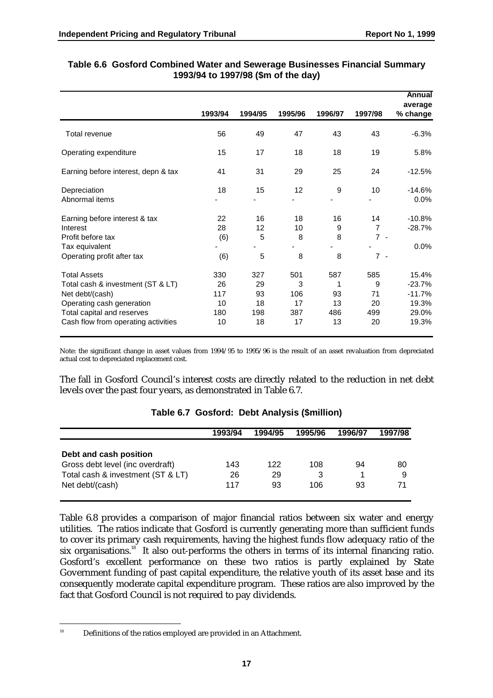|                                                                                                                                                                               |                                     |                                    |                                    |                                   |                                        | Annual<br>average                                        |
|-------------------------------------------------------------------------------------------------------------------------------------------------------------------------------|-------------------------------------|------------------------------------|------------------------------------|-----------------------------------|----------------------------------------|----------------------------------------------------------|
|                                                                                                                                                                               | 1993/94                             | 1994/95                            | 1995/96                            | 1996/97                           | 1997/98                                | % change                                                 |
| Total revenue                                                                                                                                                                 | 56                                  | 49                                 | 47                                 | 43                                | 43                                     | $-6.3%$                                                  |
| Operating expenditure                                                                                                                                                         | 15                                  | 17                                 | 18                                 | 18                                | 19                                     | 5.8%                                                     |
| Earning before interest, depn & tax                                                                                                                                           | 41                                  | 31                                 | 29                                 | 25                                | 24                                     | $-12.5%$                                                 |
| Depreciation<br>Abnormal items                                                                                                                                                | 18                                  | 15                                 | 12                                 | 9                                 | 10                                     | $-14.6%$<br>0.0%                                         |
| Earning before interest & tax<br>Interest<br>Profit before tax<br>Tax equivalent<br>Operating profit after tax                                                                | 22<br>28<br>(6)<br>(6)              | 16<br>12<br>5<br>5                 | 18<br>10<br>8<br>8                 | 16<br>9<br>8<br>8                 | 14<br>$\overline{7}$<br>$7 -$<br>$7 -$ | $-10.8%$<br>$-28.7%$<br>0.0%                             |
| <b>Total Assets</b><br>Total cash & investment (ST & LT)<br>Net debt/(cash)<br>Operating cash generation<br>Total capital and reserves<br>Cash flow from operating activities | 330<br>26<br>117<br>10<br>180<br>10 | 327<br>29<br>93<br>18<br>198<br>18 | 501<br>3<br>106<br>17<br>387<br>17 | 587<br>1<br>93<br>13<br>486<br>13 | 585<br>9<br>71<br>20<br>499<br>20      | 15.4%<br>$-23.7%$<br>$-11.7%$<br>19.3%<br>29.0%<br>19.3% |

#### **Table 6.6 Gosford Combined Water and Sewerage Businesses Financial Summary 1993/94 to 1997/98 (\$m of the day)**

Note: the significant change in asset values from 1994/95 to 1995/96 is the result of an asset revaluation from depreciated actual cost to depreciated replacement cost.

The fall in Gosford Council's interest costs are directly related to the reduction in net debt levels over the past four years, as demonstrated in Table 6.7.

|                                   | 1993/94 | 1994/95 | 1995/96 | 1996/97 | 1997/98 |
|-----------------------------------|---------|---------|---------|---------|---------|
| Debt and cash position            |         |         |         |         |         |
| Gross debt level (inc overdraft)  | 143     | 122     | 108     | 94      | 80      |
| Total cash & investment (ST & LT) | 26      | 29      |         |         | 9       |
| Net debt/(cash)                   | 117     | 93      | 106     | 93      | 71      |
|                                   |         |         |         |         |         |

### **Table 6.7 Gosford: Debt Analysis (\$million)**

Table 6.8 provides a comparison of major financial ratios between six water and energy utilities. The ratios indicate that Gosford is currently generating more than sufficient funds to cover its primary cash requirements, having the highest funds flow adequacy ratio of the six organisations.<sup>18</sup> It also out-performs the others in terms of its internal financing ratio. Gosford's excellent performance on these two ratios is partly explained by State Government funding of past capital expenditure, the relative youth of its asset base and its consequently moderate capital expenditure program. These ratios are also improved by the fact that Gosford Council is not required to pay dividends.

<sup>&</sup>lt;sup>18</sup> Definitions of the ratios employed are provided in an Attachment.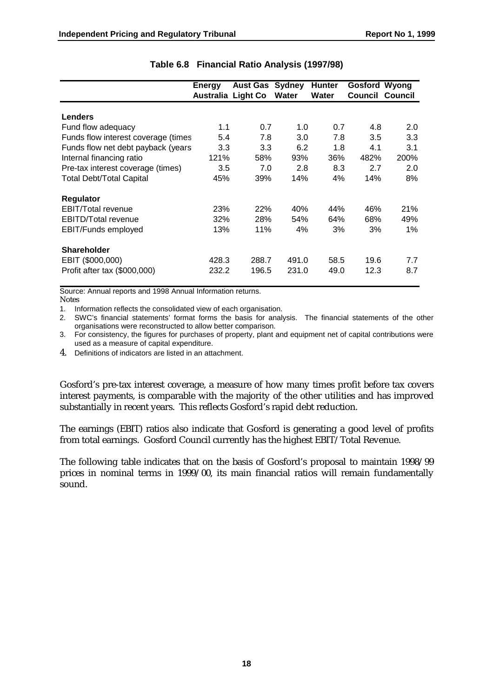|                                     | <b>Energy</b><br>Australia Light Co | <b>Aust Gas</b> | Sydney<br>Water | <b>Hunter</b><br>Water | Gosford Wyong<br><b>Council Council</b> |      |
|-------------------------------------|-------------------------------------|-----------------|-----------------|------------------------|-----------------------------------------|------|
|                                     |                                     |                 |                 |                        |                                         |      |
| <b>Lenders</b>                      |                                     |                 |                 |                        |                                         |      |
| Fund flow adequacy                  | 1.1                                 | 0.7             | 1.0             | 0.7                    | 4.8                                     | 2.0  |
| Funds flow interest coverage (times | 5.4                                 | 7.8             | 3.0             | 7.8                    | 3.5                                     | 3.3  |
| Funds flow net debt payback (years  | 3.3                                 | 3.3             | 6.2             | 1.8                    | 4.1                                     | 3.1  |
| Internal financing ratio            | 121%                                | 58%             | 93%             | 36%                    | 482%                                    | 200% |
| Pre-tax interest coverage (times)   | 3.5                                 | 7.0             | 2.8             | 8.3                    | 2.7                                     | 2.0  |
| <b>Total Debt/Total Capital</b>     | 45%                                 | 39%             | 14%             | 4%                     | 14%                                     | 8%   |
| Regulator                           |                                     |                 |                 |                        |                                         |      |
| <b>EBIT/Total revenue</b>           | 23%                                 | 22%             | 40%             | 44%                    | 46%                                     | 21%  |
| <b>EBITD/Total revenue</b>          | 32%                                 | 28%             | 54%             | 64%                    | 68%                                     | 49%  |
| EBIT/Funds employed                 | 13%                                 | 11%             | 4%              | 3%                     | 3%                                      | 1%   |
| <b>Shareholder</b>                  |                                     |                 |                 |                        |                                         |      |
| EBIT (\$000,000)                    | 428.3                               | 288.7           | 491.0           | 58.5                   | 19.6                                    | 7.7  |
| Profit after tax (\$000,000)        | 232.2                               | 196.5           | 231.0           | 49.0                   | 12.3                                    | 8.7  |

#### **Table 6.8 Financial Ratio Analysis (1997/98)**

Source: Annual reports and 1998 Annual Information returns. Notes

1. Information reflects the consolidated view of each organisation.

2. SWC's financial statements' format forms the basis for analysis. The financial statements of the other organisations were reconstructed to allow better comparison.

3. For consistency, the figures for purchases of property, plant and equipment net of capital contributions were used as a measure of capital expenditure.

4. Definitions of indicators are listed in an attachment.

Gosford's pre-tax interest coverage, a measure of how many times profit before tax covers interest payments, is comparable with the majority of the other utilities and has improved substantially in recent years. This reflects Gosford's rapid debt reduction.

The earnings (EBIT) ratios also indicate that Gosford is generating a good level of profits from total earnings. Gosford Council currently has the highest EBIT/Total Revenue.

The following table indicates that on the basis of Gosford's proposal to maintain 1998/99 prices in nominal terms in 1999/00, its main financial ratios will remain fundamentally sound.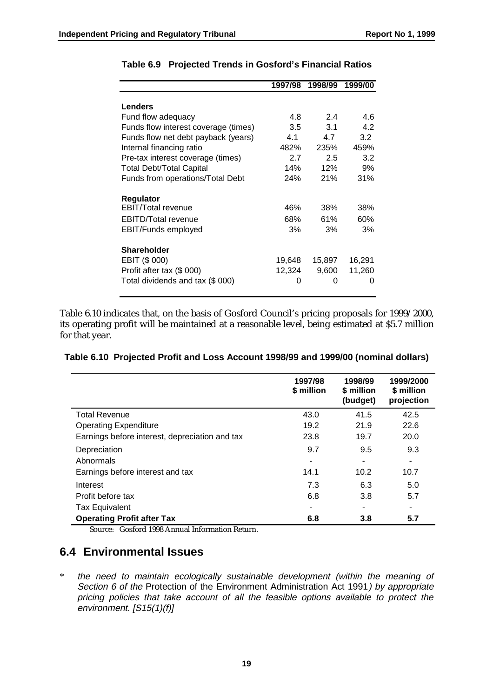|                                      | 1997/98 | 1998/99 | 1999/00 |
|--------------------------------------|---------|---------|---------|
|                                      |         |         |         |
| <b>Lenders</b>                       |         |         |         |
| Fund flow adequacy                   | 4.8     | 2.4     | 4.6     |
| Funds flow interest coverage (times) | 3.5     | 3.1     | 4.2     |
| Funds flow net debt payback (years)  | 4.1     | 4.7     | 3.2     |
| Internal financing ratio             | 482%    | 235%    | 459%    |
| Pre-tax interest coverage (times)    | 2.7     | 2.5     | 3.2     |
| <b>Total Debt/Total Capital</b>      | 14%     | 12%     | 9%      |
| Funds from operations/Total Debt     | 24%     | 21%     | 31%     |
| Regulator                            |         |         |         |
| <b>EBIT/Total revenue</b>            | 46%     | 38%     | 38%     |
| <b>EBITD/Total revenue</b>           | 68%     | 61%     | 60%     |
| EBIT/Funds employed                  | 3%      | 3%      | 3%      |
| <b>Shareholder</b>                   |         |         |         |
| EBIT (\$ 000)                        | 19,648  | 15,897  | 16,291  |
| Profit after tax (\$ 000)            | 12,324  | 9,600   | 11,260  |
| Total dividends and tax (\$ 000)     | 0       | 0       | 0       |

#### **Table 6.9 Projected Trends in Gosford's Financial Ratios**

Table 6.10 indicates that, on the basis of Gosford Council's pricing proposals for 1999/2000, its operating profit will be maintained at a reasonable level, being estimated at \$5.7 million for that year.

|  |  |  |  | Table 6.10 Projected Profit and Loss Account 1998/99 and 1999/00 (nominal dollars) |  |
|--|--|--|--|------------------------------------------------------------------------------------|--|
|--|--|--|--|------------------------------------------------------------------------------------|--|

|                                                | 1997/98<br>\$ million | 1998/99<br>\$ million<br>(budget) | 1999/2000<br>\$ million<br>projection |
|------------------------------------------------|-----------------------|-----------------------------------|---------------------------------------|
| <b>Total Revenue</b>                           | 43.0                  | 41.5                              | 42.5                                  |
| <b>Operating Expenditure</b>                   | 19.2                  | 21.9                              | 22.6                                  |
| Earnings before interest, depreciation and tax | 23.8                  | 19.7                              | 20.0                                  |
| Depreciation                                   | 9.7                   | 9.5                               | 9.3                                   |
| Abnormals                                      |                       |                                   | ۰                                     |
| Earnings before interest and tax               | 14.1                  | 10.2                              | 10.7                                  |
| Interest                                       | 7.3                   | 6.3                               | 5.0                                   |
| Profit before tax                              | 6.8                   | 3.8                               | 5.7                                   |
| <b>Tax Equivalent</b>                          |                       |                                   |                                       |
| <b>Operating Profit after Tax</b>              | 6.8                   | 3.8                               | 5.7                                   |

Source: Gosford 1998 Annual Information Return.

### **6.4 Environmental Issues**

\* the need to maintain ecologically sustainable development (within the meaning of Section 6 of the Protection of the Environment Administration Act 1991) by appropriate pricing policies that take account of all the feasible options available to protect the environment. [S15(1)(f)]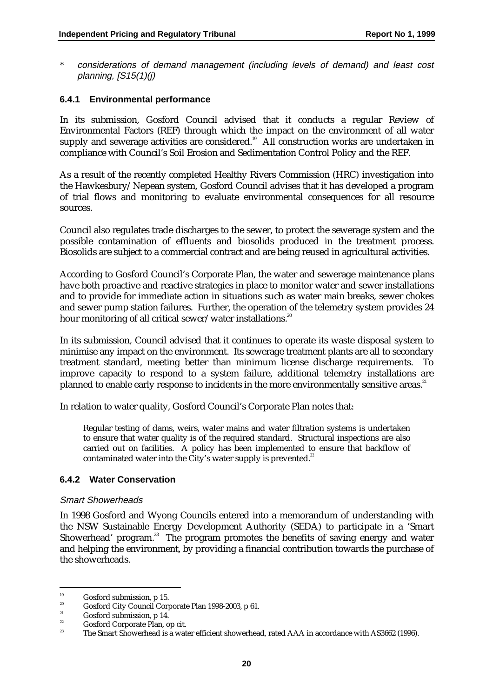\* considerations of demand management (including levels of demand) and least cost planning,  $[**S**15(1)(*j*)$ 

#### **6.4.1 Environmental performance**

In its submission, Gosford Council advised that it conducts a regular Review of Environmental Factors (REF) through which the impact on the environment of all water supply and sewerage activities are considered.<sup>19</sup> All construction works are undertaken in compliance with Council's Soil Erosion and Sedimentation Control Policy and the REF.

As a result of the recently completed Healthy Rivers Commission (HRC) investigation into the Hawkesbury/Nepean system, Gosford Council advises that it has developed a program of trial flows and monitoring to evaluate environmental consequences for all resource sources.

Council also regulates trade discharges to the sewer, to protect the sewerage system and the possible contamination of effluents and biosolids produced in the treatment process. Biosolids are subject to a commercial contract and are being reused in agricultural activities.

According to Gosford Council's Corporate Plan, the water and sewerage maintenance plans have both proactive and reactive strategies in place to monitor water and sewer installations and to provide for immediate action in situations such as water main breaks, sewer chokes and sewer pump station failures. Further, the operation of the telemetry system provides 24 hour monitoring of all critical sewer/water installations.<sup>20</sup>

In its submission, Council advised that it continues to operate its waste disposal system to minimise any impact on the environment. Its sewerage treatment plants are all to secondary treatment standard, meeting better than minimum license discharge requirements. To improve capacity to respond to a system failure, additional telemetry installations are planned to enable early response to incidents in the more environmentally sensitive areas.<sup>21</sup>

In relation to water quality, Gosford Council's Corporate Plan notes that:

Regular testing of dams, weirs, water mains and water filtration systems is undertaken to ensure that water quality is of the required standard. Structural inspections are also carried out on facilities. A policy has been implemented to ensure that backflow of contaminated water into the City's water supply is prevented.*<sup>22</sup>*

#### **6.4.2 Water Conservation**

#### Smart Showerheads

In 1998 Gosford and Wyong Councils entered into a memorandum of understanding with the NSW Sustainable Energy Development Authority (SEDA) to participate in a 'Smart Showerhead' program.<sup>23</sup> The program promotes the benefits of saving energy and water and helping the environment, by providing a financial contribution towards the purchase of the showerheads.

<sup>&</sup>lt;sup>19</sup> Gosford submission, p 15.

<sup>&</sup>lt;sup>20</sup> Gosford City Council Corporate Plan 1998-2003, p 61.

<sup>&</sup>lt;sup>21</sup> Gosford submission, p 14.

<sup>&</sup>lt;sup>22</sup> Gosford Corporate Plan, op cit.

<sup>23</sup> The Smart Showerhead is a water efficient showerhead, rated AAA in accordance with AS3662 (1996).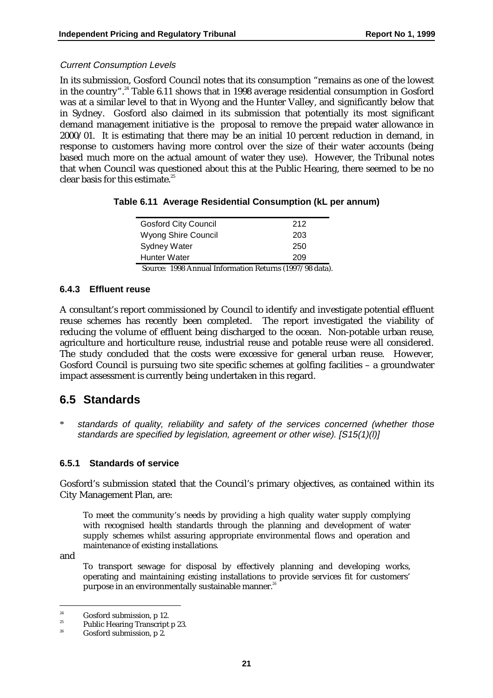#### Current Consumption Levels

In its submission, Gosford Council notes that its consumption "remains as one of the lowest in the country".<sup>24</sup> Table 6.11 shows that in 1998 average residential consumption in Gosford was at a similar level to that in Wyong and the Hunter Valley, and significantly below that in Sydney. Gosford also claimed in its submission that potentially its most significant demand management initiative is the proposal to remove the prepaid water allowance in 2000/01. It is estimating that there may be an initial 10 percent reduction in demand, in response to customers having more control over the size of their water accounts (being based much more on the actual amount of water they use). However, the Tribunal notes that when Council was questioned about this at the Public Hearing, there seemed to be no clear basis for this estimate.25

|  | Table 6.11 Average Residential Consumption (kL per annum) |  |  |
|--|-----------------------------------------------------------|--|--|
|--|-----------------------------------------------------------|--|--|

| <b>Gosford City Council</b>                           | 212 |
|-------------------------------------------------------|-----|
| Wyong Shire Council                                   | 203 |
| <b>Sydney Water</b>                                   | 250 |
| <b>Hunter Water</b>                                   | 209 |
| Course: 1008 Annual Information Peturns (1007/08 date |     |

Source: 1998 Annual Information Returns (1997/98 data).

#### **6.4.3 Effluent reuse**

A consultant's report commissioned by Council to identify and investigate potential effluent reuse schemes has recently been completed. The report investigated the viability of reducing the volume of effluent being discharged to the ocean. Non-potable urban reuse, agriculture and horticulture reuse, industrial reuse and potable reuse were all considered. The study concluded that the costs were excessive for general urban reuse. However, Gosford Council is pursuing two site specific schemes at golfing facilities – a groundwater impact assessment is currently being undertaken in this regard.

### **6.5 Standards**

standards of quality, reliability and safety of the services concerned (whether those standards are specified by legislation, agreement or other wise). [S15(1)(l)]

#### **6.5.1 Standards of service**

Gosford's submission stated that the Council's primary objectives, as contained within its City Management Plan, are:

To meet the community's needs by providing a high quality water supply complying with recognised health standards through the planning and development of water supply schemes whilst assuring appropriate environmental flows and operation and maintenance of existing installations*.*

and

To transport sewage for disposal by effectively planning and developing works, operating and maintaining existing installations to provide services fit for customers' purpose in an environmentally sustainable manner.*<sup>26</sup>*

<sup>&</sup>lt;sup>24</sup> Gosford submission, p 12.

<sup>&</sup>lt;sup>25</sup> Public Hearing Transcript p 23.

Gosford submission, p 2.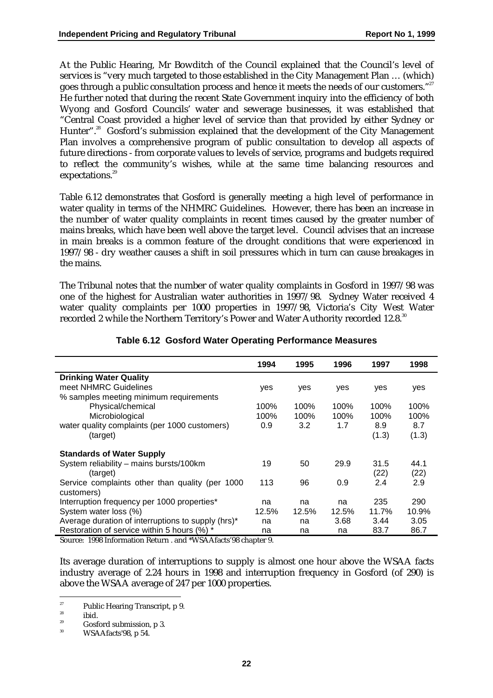At the Public Hearing, Mr Bowditch of the Council explained that the Council's level of services is "very much targeted to those established in the City Management Plan … (which) goes through a public consultation process and hence it meets the needs of our customers."<sup>27</sup> He further noted that during the recent State Government inquiry into the efficiency of both Wyong and Gosford Councils' water and sewerage businesses, it was established that "Central Coast provided a higher level of service than that provided by either Sydney or Hunter".<sup>28</sup> Gosford's submission explained that the development of the City Management Plan involves a comprehensive program of public consultation to develop all aspects of future directions - from corporate values to levels of service, programs and budgets required to reflect the community's wishes, while at the same time balancing resources and expectations.<sup>29</sup>

Table 6.12 demonstrates that Gosford is generally meeting a high level of performance in water quality in terms of the NHMRC Guidelines. However, there has been an increase in the number of water quality complaints in recent times caused by the greater number of mains breaks, which have been well above the target level. Council advises that an increase in main breaks is a common feature of the drought conditions that were experienced in 1997/98 - dry weather causes a shift in soil pressures which in turn can cause breakages in the mains.

The Tribunal notes that the number of water quality complaints in Gosford in 1997/98 was one of the highest for Australian water authorities in 1997/98. Sydney Water received 4 water quality complaints per 1000 properties in 1997/98, Victoria's City West Water recorded 2 while the Northern Territory's Power and Water Authority recorded 12.8.<sup>30</sup>

|                                                               | 1994  | 1995  | 1996  | 1997         | 1998         |
|---------------------------------------------------------------|-------|-------|-------|--------------|--------------|
| <b>Drinking Water Quality</b>                                 |       |       |       |              |              |
| meet NHMRC Guidelines                                         | yes   | yes   | yes   | yes          | yes          |
| % samples meeting minimum requirements                        |       |       |       |              |              |
| Physical/chemical                                             | 100%  | 100%  | 100%  | 100%         | 100%         |
| Microbiological                                               | 100%  | 100%  | 100%  | 100%         | 100%         |
| water quality complaints (per 1000 customers)                 | 0.9   | 3.2   | 1.7   | 8.9          | 8.7          |
| (target)                                                      |       |       |       | (1.3)        | (1.3)        |
| <b>Standards of Water Supply</b>                              |       |       |       |              |              |
| System reliability - mains bursts/100km<br>(target)           | 19    | 50    | 29.9  | 31.5<br>(22) | 44.1<br>(22) |
| Service complaints other than quality (per 1000<br>customers) | 113   | 96    | 0.9   | 2.4          | 2.9          |
| Interruption frequency per 1000 properties*                   | na    | na    | na    | 235          | 290          |
| System water loss (%)                                         | 12.5% | 12.5% | 12.5% | 11.7%        | 10.9%        |
| Average duration of interruptions to supply (hrs)*            | na    | na    | 3.68  | 3.44         | 3.05         |
| Restoration of service within 5 hours (%) *                   | na    | na    | na    | 83.7         | 86.7         |

#### **Table 6.12 Gosford Water Operating Performance Measures**

Source: 1998 Information Return . and \*WSAAfacts'98 chapter 9.

Its average duration of interruptions to supply is almost one hour above the WSAA facts industry average of 2.24 hours in 1998 and interruption frequency in Gosford (of 290) is above the WSAA average of 247 per 1000 properties.

<sup>&</sup>lt;sup>27</sup> Public Hearing Transcript, p 9.

 $\frac{28}{29}$  ibid.

<sup>&</sup>lt;sup>29</sup> Gosford submission, p 3.

WSAAfacts'98, p 54.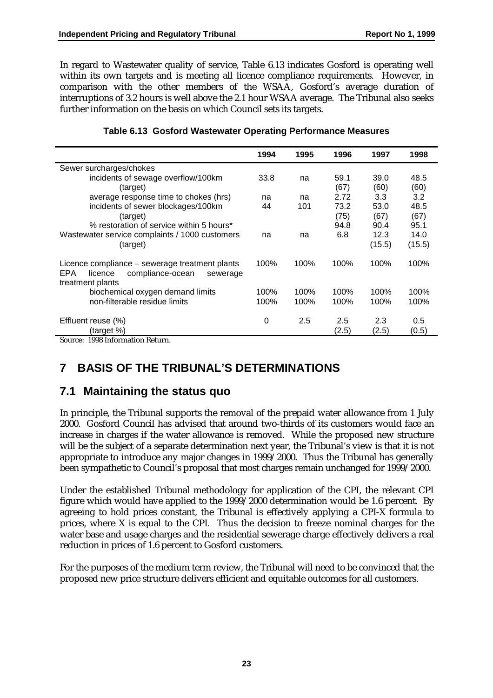In regard to Wastewater quality of service, Table 6.13 indicates Gosford is operating well within its own targets and is meeting all licence compliance requirements. However, in comparison with the other members of the WSAA, Gosford's average duration of interruptions of 3.2 hours is well above the 2.1 hour WSAA average. The Tribunal also seeks further information on the basis on which Council sets its targets.

|                                                                                                                      | 1994 | 1995 | 1996         | 1997         | 1998         |
|----------------------------------------------------------------------------------------------------------------------|------|------|--------------|--------------|--------------|
| Sewer surcharges/chokes                                                                                              |      |      |              |              |              |
| incidents of sewage overflow/100km                                                                                   | 33.8 | na   | 59.1         | 39.0         | 48.5         |
| (target)                                                                                                             |      |      | (67)         | (60)         | (60)         |
| average response time to chokes (hrs)                                                                                | na   | na   | 2.72         | 3.3          | 3.2          |
| incidents of sewer blockages/100km                                                                                   | 44   | 101  | 73.2         | 53.0         | 48.5         |
| (target)                                                                                                             |      |      | (75)         | (67)         | (67)         |
| % restoration of service within 5 hours*                                                                             |      |      | 94.8         | 90.4         | 95.1         |
| Wastewater service complaints / 1000 customers                                                                       | na   | na   | 6.8          | 12.3         | 14.0         |
| (target)                                                                                                             |      |      |              | (15.5)       | (15.5)       |
| Licence compliance – sewerage treatment plants<br>compliance-ocean<br>EPA<br>licence<br>sewerage<br>treatment plants | 100% | 100% | 100%         | 100%         | 100%         |
| biochemical oxygen demand limits                                                                                     | 100% | 100% | 100%         | 100%         | 100%         |
| non-filterable residue limits                                                                                        | 100% | 100% | 100%         | 100%         | 100%         |
| Effluent reuse (%)<br>(target %)                                                                                     | 0    | 2.5  | 2.5<br>(2.5) | 2.3<br>(2.5) | 0.5<br>(0.5) |
| $\sim$<br>1000T<br>$\mathbf{r}$ .                                                                                    |      |      |              |              |              |

#### **Table 6.13 Gosford Wastewater Operating Performance Measures**

Source: 1998 Information Return.

## **7 BASIS OF THE TRIBUNAL'S DETERMINATIONS**

### **7.1 Maintaining the status quo**

In principle, the Tribunal supports the removal of the prepaid water allowance from 1 July 2000. Gosford Council has advised that around two-thirds of its customers would face an increase in charges if the water allowance is removed. While the proposed new structure will be the subject of a separate determination next year, the Tribunal's view is that it is not appropriate to introduce any major changes in 1999/2000. Thus the Tribunal has generally been sympathetic to Council's proposal that most charges remain unchanged for 1999/2000.

Under the established Tribunal methodology for application of the CPI, the relevant CPI figure which would have applied to the 1999/2000 determination would be 1.6 percent. By agreeing to hold prices constant, the Tribunal is effectively applying a CPI-X formula to prices, where X is equal to the CPI. Thus the decision to freeze nominal charges for the water base and usage charges and the residential sewerage charge effectively delivers a real reduction in prices of 1.6 percent to Gosford customers.

For the purposes of the medium term review, the Tribunal will need to be convinced that the proposed new price structure delivers efficient and equitable outcomes for all customers.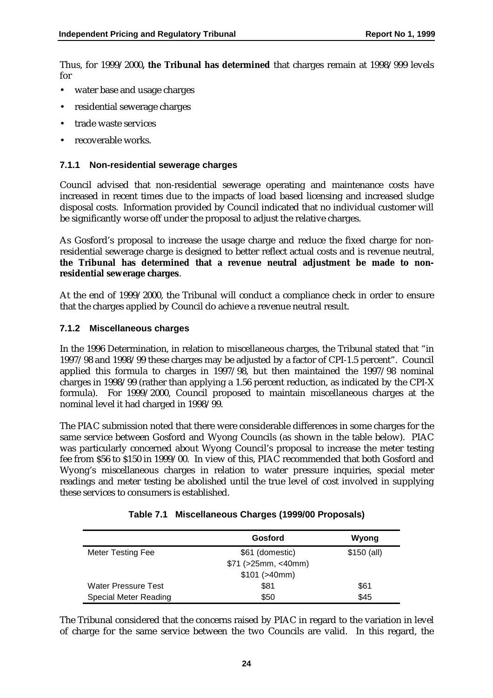Thus, for 1999/2000**, the Tribunal has determined** that charges remain at 1998/999 levels for

- water base and usage charges
- residential sewerage charges
- trade waste services
- recoverable works.

#### **7.1.1 Non-residential sewerage charges**

Council advised that non-residential sewerage operating and maintenance costs have increased in recent times due to the impacts of load based licensing and increased sludge disposal costs. Information provided by Council indicated that no individual customer will be significantly worse off under the proposal to adjust the relative charges.

As Gosford's proposal to increase the usage charge and reduce the fixed charge for nonresidential sewerage charge is designed to better reflect actual costs and is revenue neutral, **the Tribunal has determined that a revenue neutral adjustment be made to nonresidential sewerage charges**.

At the end of 1999/2000, the Tribunal will conduct a compliance check in order to ensure that the charges applied by Council do achieve a revenue neutral result.

#### **7.1.2 Miscellaneous charges**

In the 1996 Determination, in relation to miscellaneous charges, the Tribunal stated that "in 1997/98 and 1998/99 these charges may be adjusted by a factor of CPI-1.5 percent". Council applied this formula to charges in 1997/98, but then maintained the 1997/98 nominal charges in 1998/99 (rather than applying a 1.56 percent reduction, as indicated by the CPI-X formula). For 1999/2000, Council proposed to maintain miscellaneous charges at the nominal level it had charged in 1998/99.

The PIAC submission noted that there were considerable differences in some charges for the same service between Gosford and Wyong Councils (as shown in the table below). PIAC was particularly concerned about Wyong Council's proposal to increase the meter testing fee from \$56 to \$150 in 1999/00. In view of this, PIAC recommended that both Gosford and Wyong's miscellaneous charges in relation to water pressure inquiries, special meter readings and meter testing be abolished until the true level of cost involved in supplying these services to consumers is established.

|                            | Gosford             | Wyong        |
|----------------------------|---------------------|--------------|
| Meter Testing Fee          | \$61 (domestic)     | $$150$ (all) |
|                            | \$71 (>25mm, <40mm) |              |
|                            | \$101 (>40mm)       |              |
| <b>Water Pressure Test</b> | \$81                | \$61         |
| Special Meter Reading      | \$50                | \$45         |

|  | Table 7.1 Miscellaneous Charges (1999/00 Proposals) |
|--|-----------------------------------------------------|
|--|-----------------------------------------------------|

The Tribunal considered that the concerns raised by PIAC in regard to the variation in level of charge for the same service between the two Councils are valid. In this regard, the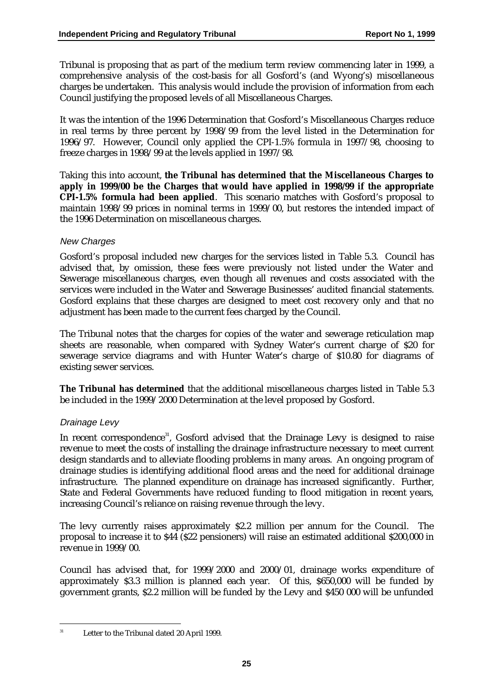Tribunal is proposing that as part of the medium term review commencing later in 1999, a comprehensive analysis of the cost-basis for all Gosford's (and Wyong's) miscellaneous charges be undertaken. This analysis would include the provision of information from each Council justifying the proposed levels of all Miscellaneous Charges.

It was the intention of the 1996 Determination that Gosford's Miscellaneous Charges reduce in real terms by three percent by 1998/99 from the level listed in the Determination for 1996/97. However, Council only applied the CPI-1.5% formula in 1997/98, choosing to freeze charges in 1998/99 at the levels applied in 1997/98.

Taking this into account, **the Tribunal has determined that the Miscellaneous Charges to apply in 1999/00 be the Charges that would have applied in 1998/99 if the appropriate CPI-1.5% formula had been applied**. This scenario matches with Gosford's proposal to maintain 1998/99 prices in nominal terms in 1999/00, but restores the intended impact of the 1996 Determination on miscellaneous charges.

#### New Charges

Gosford's proposal included new charges for the services listed in Table 5.3. Council has advised that, by omission, these fees were previously not listed under the Water and Sewerage miscellaneous charges, even though all revenues and costs associated with the services were included in the Water and Sewerage Businesses' audited financial statements. Gosford explains that these charges are designed to meet cost recovery only and that no adjustment has been made to the current fees charged by the Council.

The Tribunal notes that the charges for copies of the water and sewerage reticulation map sheets are reasonable, when compared with Sydney Water's current charge of \$20 for sewerage service diagrams and with Hunter Water's charge of \$10.80 for diagrams of existing sewer services.

**The Tribunal has determined** that the additional miscellaneous charges listed in Table 5.3 be included in the 1999/2000 Determination at the level proposed by Gosford.

#### Drainage Levy

In recent correspondence<sup>31</sup>, Gosford advised that the Drainage Levy is designed to raise revenue to meet the costs of installing the drainage infrastructure necessary to meet current design standards and to alleviate flooding problems in many areas. An ongoing program of drainage studies is identifying additional flood areas and the need for additional drainage infrastructure. The planned expenditure on drainage has increased significantly. Further, State and Federal Governments have reduced funding to flood mitigation in recent years, increasing Council's reliance on raising revenue through the levy.

The levy currently raises approximately \$2.2 million per annum for the Council. The proposal to increase it to \$44 (\$22 pensioners) will raise an estimated additional \$200,000 in revenue in 1999/00.

Council has advised that, for 1999/2000 and 2000/01, drainage works expenditure of approximately \$3.3 million is planned each year. Of this, \$650,000 will be funded by government grants, \$2.2 million will be funded by the Levy and \$450 000 will be unfunded

<sup>&</sup>lt;sup>31</sup> Letter to the Tribunal dated 20 April 1999.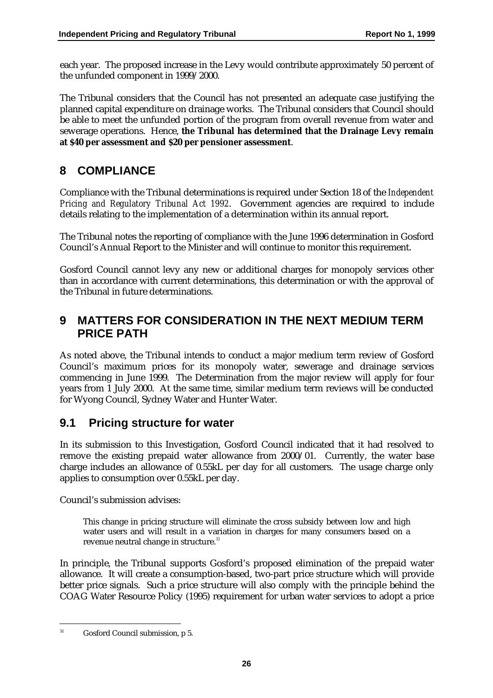each year. The proposed increase in the Levy would contribute approximately 50 percent of the unfunded component in 1999/2000.

The Tribunal considers that the Council has not presented an adequate case justifying the planned capital expenditure on drainage works. The Tribunal considers that Council should be able to meet the unfunded portion of the program from overall revenue from water and sewerage operations. Hence, **the Tribunal has determined that the Drainage Levy remain at \$40 per assessment and \$20 per pensioner assessment**.

### **8 COMPLIANCE**

Compliance with the Tribunal determinations is required under Section 18 of the *Independent Pricing and Regulatory Tribunal Act 1992*. Government agencies are required to include details relating to the implementation of a determination within its annual report.

The Tribunal notes the reporting of compliance with the June 1996 determination in Gosford Council's Annual Report to the Minister and will continue to monitor this requirement.

Gosford Council cannot levy any new or additional charges for monopoly services other than in accordance with current determinations, this determination or with the approval of the Tribunal in future determinations.

### **9 MATTERS FOR CONSIDERATION IN THE NEXT MEDIUM TERM PRICE PATH**

As noted above, the Tribunal intends to conduct a major medium term review of Gosford Council's maximum prices for its monopoly water, sewerage and drainage services commencing in June 1999. The Determination from the major review will apply for four years from 1 July 2000. At the same time, similar medium term reviews will be conducted for Wyong Council, Sydney Water and Hunter Water.

### **9.1 Pricing structure for water**

In its submission to this Investigation, Gosford Council indicated that it had resolved to remove the existing prepaid water allowance from 2000/01. Currently, the water base charge includes an allowance of 0.55kL per day for all customers. The usage charge only applies to consumption over 0.55kL per day.

Council's submission advises:

This change in pricing structure will eliminate the cross subsidy between low and high water users and will result in a variation in charges for many consumers based on a revenue neutral change in structure.*<sup>32</sup>*

In principle, the Tribunal supports Gosford's proposed elimination of the prepaid water allowance. It will create a consumption-based, two-part price structure which will provide better price signals. Such a price structure will also comply with the principle behind the COAG Water Resource Policy (1995) requirement for urban water services to adopt a price

Gosford Council submission, p 5.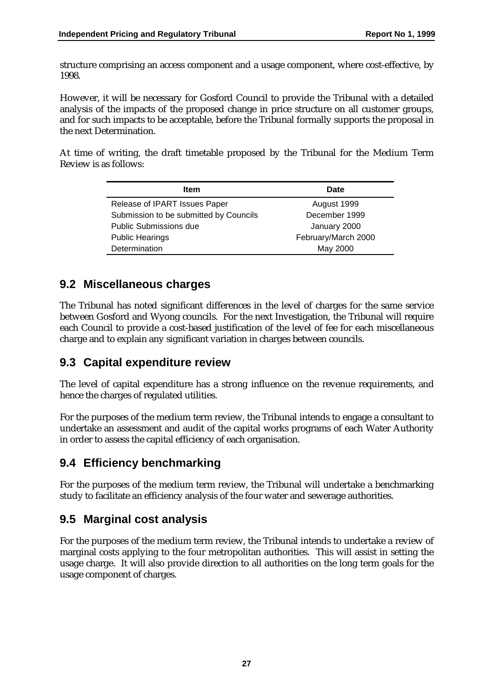structure comprising an access component and a usage component, where cost-effective, by 1998.

However, it will be necessary for Gosford Council to provide the Tribunal with a detailed analysis of the impacts of the proposed change in price structure on all customer groups, and for such impacts to be acceptable, before the Tribunal formally supports the proposal in the next Determination.

At time of writing, the draft timetable proposed by the Tribunal for the Medium Term Review is as follows:

| Item                                   | Date                |
|----------------------------------------|---------------------|
| Release of IPART Issues Paper          | August 1999         |
| Submission to be submitted by Councils | December 1999       |
| <b>Public Submissions due</b>          | January 2000        |
| <b>Public Hearings</b>                 | February/March 2000 |
| Determination                          | May 2000            |

### **9.2 Miscellaneous charges**

The Tribunal has noted significant differences in the level of charges for the same service between Gosford and Wyong councils. For the next Investigation, the Tribunal will require each Council to provide a cost-based justification of the level of fee for each miscellaneous charge and to explain any significant variation in charges between councils.

### **9.3 Capital expenditure review**

The level of capital expenditure has a strong influence on the revenue requirements, and hence the charges of regulated utilities.

For the purposes of the medium term review, the Tribunal intends to engage a consultant to undertake an assessment and audit of the capital works programs of each Water Authority in order to assess the capital efficiency of each organisation.

### **9.4 Efficiency benchmarking**

For the purposes of the medium term review, the Tribunal will undertake a benchmarking study to facilitate an efficiency analysis of the four water and sewerage authorities.

### **9.5 Marginal cost analysis**

For the purposes of the medium term review, the Tribunal intends to undertake a review of marginal costs applying to the four metropolitan authorities. This will assist in setting the usage charge. It will also provide direction to all authorities on the long term goals for the usage component of charges.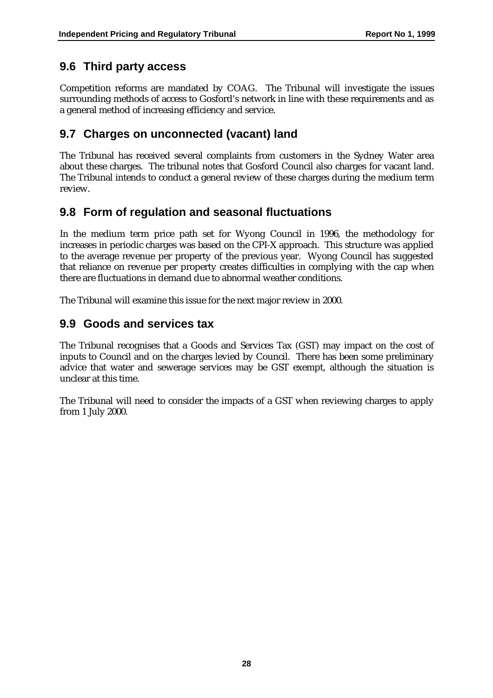### **9.6 Third party access**

Competition reforms are mandated by COAG. The Tribunal will investigate the issues surrounding methods of access to Gosford's network in line with these requirements and as a general method of increasing efficiency and service.

### **9.7 Charges on unconnected (vacant) land**

The Tribunal has received several complaints from customers in the Sydney Water area about these charges. The tribunal notes that Gosford Council also charges for vacant land. The Tribunal intends to conduct a general review of these charges during the medium term review.

### **9.8 Form of regulation and seasonal fluctuations**

In the medium term price path set for Wyong Council in 1996, the methodology for increases in periodic charges was based on the CPI-X approach. This structure was applied to the average revenue per property of the previous year. Wyong Council has suggested that reliance on revenue per property creates difficulties in complying with the cap when there are fluctuations in demand due to abnormal weather conditions.

The Tribunal will examine this issue for the next major review in 2000.

### **9.9 Goods and services tax**

The Tribunal recognises that a Goods and Services Tax (GST) may impact on the cost of inputs to Council and on the charges levied by Council. There has been some preliminary advice that water and sewerage services may be GST exempt, although the situation is unclear at this time.

The Tribunal will need to consider the impacts of a GST when reviewing charges to apply from 1 July 2000.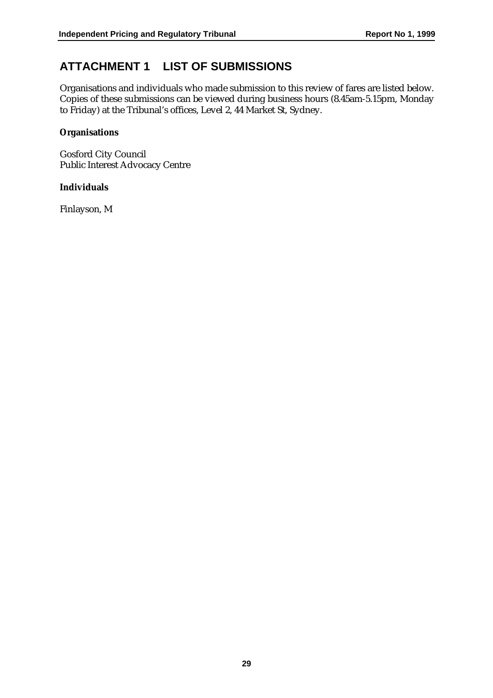### **ATTACHMENT 1 LIST OF SUBMISSIONS**

Organisations and individuals who made submission to this review of fares are listed below. Copies of these submissions can be viewed during business hours (8.45am-5.15pm, Monday to Friday) at the Tribunal's offices, Level 2, 44 Market St, Sydney.

#### **Organisations**

Gosford City Council Public Interest Advocacy Centre

#### **Individuals**

Finlayson, M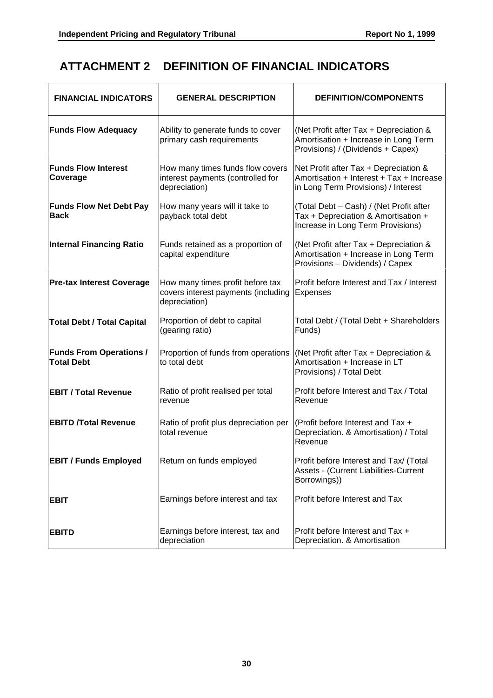### **ATTACHMENT 2 DEFINITION OF FINANCIAL INDICATORS**

| <b>FINANCIAL INDICATORS</b>                         | <b>GENERAL DESCRIPTION</b>                                                               | <b>DEFINITION/COMPONENTS</b>                                                                                             |
|-----------------------------------------------------|------------------------------------------------------------------------------------------|--------------------------------------------------------------------------------------------------------------------------|
| <b>Funds Flow Adequacy</b>                          | Ability to generate funds to cover<br>primary cash requirements                          | (Net Profit after Tax + Depreciation &<br>Amortisation + Increase in Long Term<br>Provisions) / (Dividends + Capex)      |
| <b>Funds Flow Interest</b><br>Coverage              | How many times funds flow covers<br>interest payments (controlled for<br>depreciation)   | Net Profit after Tax + Depreciation &<br>Amortisation + Interest + Tax + Increase<br>in Long Term Provisions) / Interest |
| <b>Funds Flow Net Debt Pay</b><br><b>Back</b>       | How many years will it take to<br>payback total debt                                     | (Total Debt - Cash) / (Net Profit after<br>Tax + Depreciation & Amortisation +<br>Increase in Long Term Provisions)      |
| <b>Internal Financing Ratio</b>                     | Funds retained as a proportion of<br>capital expenditure                                 | (Net Profit after Tax + Depreciation &<br>Amortisation + Increase in Long Term<br>Provisions - Dividends) / Capex        |
| <b>Pre-tax Interest Coverage</b>                    | How many times profit before tax<br>covers interest payments (including<br>depreciation) | Profit before Interest and Tax / Interest<br>Expenses                                                                    |
| <b>Total Debt / Total Capital</b>                   | Proportion of debt to capital<br>(gearing ratio)                                         | Total Debt / (Total Debt + Shareholders<br>Funds)                                                                        |
| <b>Funds From Operations /</b><br><b>Total Debt</b> | Proportion of funds from operations<br>to total debt                                     | (Net Profit after Tax + Depreciation &<br>Amortisation + Increase in LT<br>Provisions) / Total Debt                      |
| <b>EBIT / Total Revenue</b>                         | Ratio of profit realised per total<br>revenue                                            | Profit before Interest and Tax / Total<br>Revenue                                                                        |
| <b>EBITD /Total Revenue</b>                         | Ratio of profit plus depreciation per<br>total revenue                                   | (Profit before Interest and Tax +<br>Depreciation. & Amortisation) / Total<br>Revenue                                    |
| <b>EBIT / Funds Employed</b>                        | Return on funds employed                                                                 | Profit before Interest and Tax/ (Total<br>Assets - (Current Liabilities-Current<br>Borrowings))                          |
| <b>EBIT</b>                                         | Earnings before interest and tax                                                         | Profit before Interest and Tax                                                                                           |
| <b>EBITD</b>                                        | Earnings before interest, tax and<br>depreciation                                        | Profit before Interest and Tax +<br>Depreciation. & Amortisation                                                         |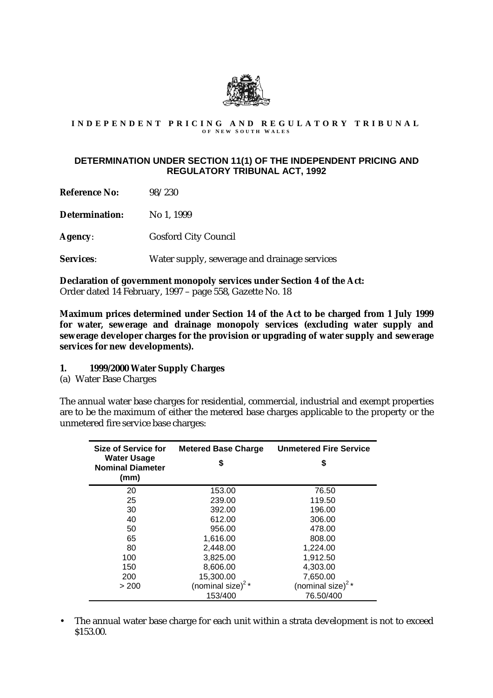

# INDEPENDENT PRICING AND REGULATORY TRIBUNAL

#### **DETERMINATION UNDER SECTION 11(1) OF THE INDEPENDENT PRICING AND REGULATORY TRIBUNAL ACT, 1992**

**Reference No:** 98/230

**Determination:** No 1, 1999

**Agency**: Gosford City Council

**Services**: Water supply, sewerage and drainage services

**Declaration of government monopoly services under Section 4 of the Act:** Order dated 14 February, 1997 – page 558, Gazette No. 18

**Maximum prices determined under Section 14 of the Act to be charged from 1 July 1999 for water, sewerage and drainage monopoly services (excluding water supply and sewerage developer charges for the provision or upgrading of water supply and sewerage services for new developments).**

- **1. 1999/2000 Water Supply Charges**
- (a) Water Base Charges

The annual water base charges for residential, commercial, industrial and exempt properties are to be the maximum of either the metered base charges applicable to the property or the unmetered fire service base charges:

| Size of Service for                                   | <b>Metered Base Charge</b>    | <b>Unmetered Fire Service</b>             |
|-------------------------------------------------------|-------------------------------|-------------------------------------------|
| <b>Water Usage</b><br><b>Nominal Diameter</b><br>(mm) | \$                            | S                                         |
| 20                                                    | 153.00                        | 76.50                                     |
| 25                                                    | 239.00                        | 119.50                                    |
| 30                                                    | 392.00                        | 196.00                                    |
| 40                                                    | 612.00                        | 306.00                                    |
| 50                                                    | 956.00                        | 478.00                                    |
| 65                                                    | 1,616.00                      | 808.00                                    |
| 80                                                    | 2.448.00                      | 1,224.00                                  |
| 100                                                   | 3,825.00                      | 1,912.50                                  |
| 150                                                   | 8,606.00                      | 4,303.00                                  |
| 200                                                   | 15,300.00                     | 7,650.00                                  |
| > 200                                                 | (nominal size) <sup>2</sup> * | (nominal size) <sup><math>2*</math></sup> |
|                                                       | 153/400                       | 76.50/400                                 |

• The annual water base charge for each unit within a strata development is not to exceed \$153.00.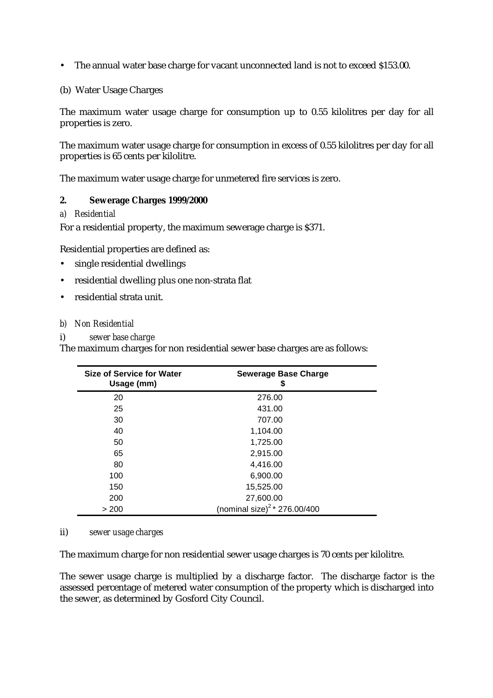• The annual water base charge for vacant unconnected land is not to exceed \$153.00.

#### (b) Water Usage Charges

The maximum water usage charge for consumption up to 0.55 kilolitres per day for all properties is zero.

The maximum water usage charge for consumption in excess of 0.55 kilolitres per day for all properties is 65 cents per kilolitre.

The maximum water usage charge for unmetered fire services is zero.

#### **2. Sewerage Charges 1999/2000**

#### *a) Residential*

For a residential property, the maximum sewerage charge is \$371.

Residential properties are defined as:

- single residential dwellings
- residential dwelling plus one non-strata flat
- residential strata unit.

#### *b) Non Residential*

#### i) *sewer base charge*

The maximum charges for non residential sewer base charges are as follows:

| <b>Size of Service for Water</b><br>Usage (mm) | <b>Sewerage Base Charge</b><br>\$  |  |
|------------------------------------------------|------------------------------------|--|
| 20                                             | 276.00                             |  |
| 25                                             | 431.00                             |  |
| 30                                             | 707.00                             |  |
| 40                                             | 1,104.00                           |  |
| 50                                             | 1,725.00                           |  |
| 65                                             | 2,915.00                           |  |
| 80                                             | 4,416.00                           |  |
| 100                                            | 6,900.00                           |  |
| 150                                            | 15,525.00                          |  |
| 200                                            | 27,600.00                          |  |
| > 200                                          | (nominal size) $^{2}$ * 276.00/400 |  |

#### ii) *sewer usage charges*

The maximum charge for non residential sewer usage charges is 70 cents per kilolitre.

The sewer usage charge is multiplied by a discharge factor. The discharge factor is the assessed percentage of metered water consumption of the property which is discharged into the sewer, as determined by Gosford City Council.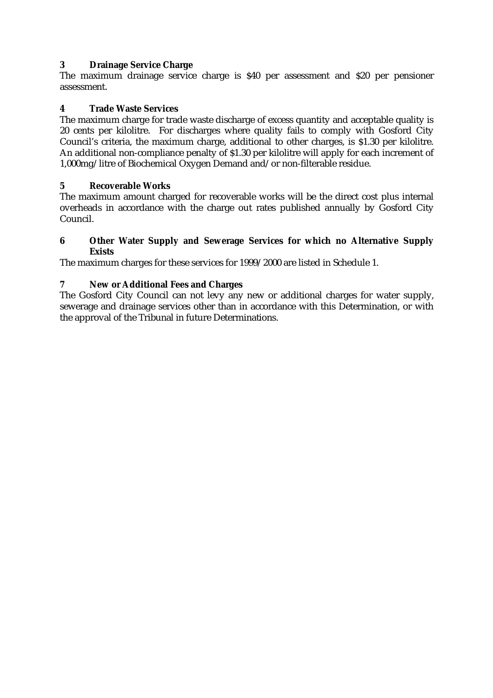#### **3 Drainage Service Charge**

The maximum drainage service charge is \$40 per assessment and \$20 per pensioner assessment.

#### **4 Trade Waste Services**

The maximum charge for trade waste discharge of excess quantity and acceptable quality is 20 cents per kilolitre. For discharges where quality fails to comply with Gosford City Council's criteria, the maximum charge, additional to other charges, is \$1.30 per kilolitre. An additional non-compliance penalty of \$1.30 per kilolitre will apply for each increment of 1,000mg/litre of Biochemical Oxygen Demand and/or non-filterable residue.

#### **5 Recoverable Works**

The maximum amount charged for recoverable works will be the direct cost plus internal overheads in accordance with the charge out rates published annually by Gosford City Council.

#### **6 Other Water Supply and Sewerage Services for which no Alternative Supply Exists**

The maximum charges for these services for 1999/2000 are listed in Schedule 1.

#### **7 New or Additional Fees and Charges**

The Gosford City Council can not levy any new or additional charges for water supply, sewerage and drainage services other than in accordance with this Determination, or with the approval of the Tribunal in future Determinations.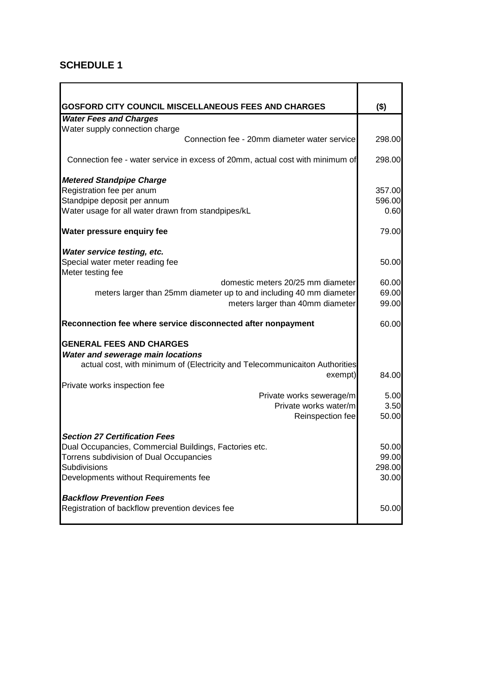### **SCHEDULE 1**

| <b>GOSFORD CITY COUNCIL MISCELLANEOUS FEES AND CHARGES</b>                    | $($ \$) |
|-------------------------------------------------------------------------------|---------|
| <b>Water Fees and Charges</b><br>Water supply connection charge               |         |
| Connection fee - 20mm diameter water service                                  | 298.00  |
|                                                                               |         |
| Connection fee - water service in excess of 20mm, actual cost with minimum of | 298.00  |
| <b>Metered Standpipe Charge</b>                                               |         |
| Registration fee per anum                                                     | 357.00  |
| Standpipe deposit per annum                                                   | 596.00  |
| Water usage for all water drawn from standpipes/kL                            | 0.60    |
| <b>Water pressure enquiry fee</b>                                             | 79.00   |
| Water service testing, etc.                                                   |         |
| Special water meter reading fee                                               | 50.00   |
| Meter testing fee                                                             |         |
| domestic meters 20/25 mm diameter                                             | 60.00   |
| meters larger than 25mm diameter up to and including 40 mm diameter           | 69.00   |
| meters larger than 40mm diameter                                              | 99.00   |
| Reconnection fee where service disconnected after nonpayment                  | 60.00   |
| <b>GENERAL FEES AND CHARGES</b>                                               |         |
| <b>Water and sewerage main locations</b>                                      |         |
| actual cost, with minimum of (Electricity and Telecommunicaiton Authorities   |         |
| exempt)                                                                       | 84.00   |
| Private works inspection fee                                                  |         |
| Private works sewerage/m                                                      | 5.00    |
| Private works water/m                                                         | 3.50    |
| Reinspection fee                                                              | 50.00   |
| <b>Section 27 Certification Fees</b>                                          |         |
| Dual Occupancies, Commercial Buildings, Factories etc.                        | 50.00   |
| Torrens subdivision of Dual Occupancies                                       | 99.00   |
| Subdivisions                                                                  | 298.00  |
| Developments without Requirements fee                                         | 30.00   |
| <b>Backflow Prevention Fees</b>                                               |         |
| Registration of backflow prevention devices fee                               | 50.00   |
|                                                                               |         |